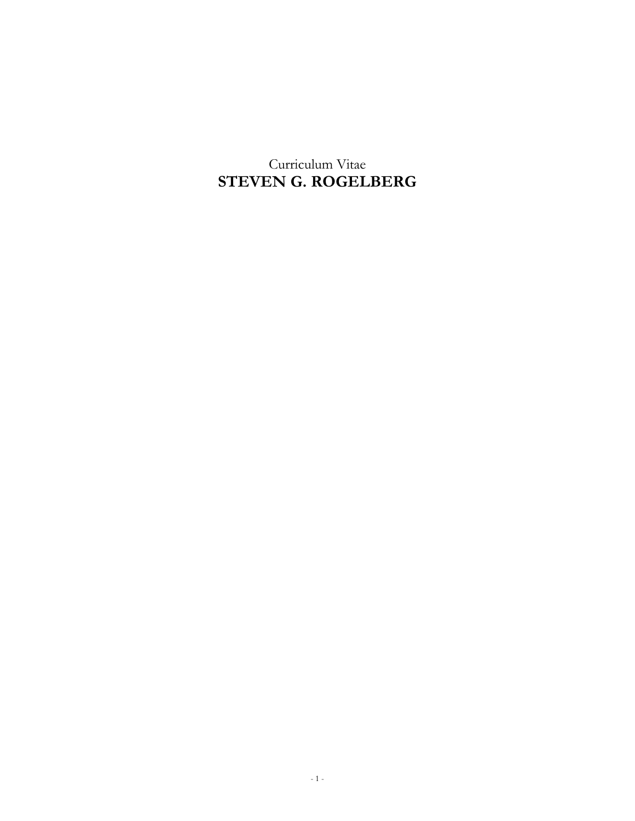Curriculum Vitae **STEVEN G. ROGELBERG**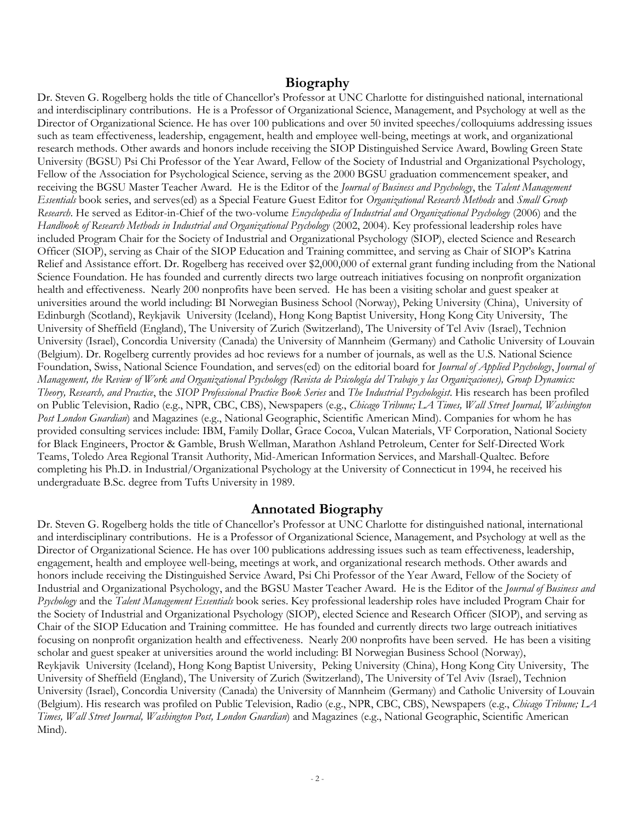# **Biography**

Dr. Steven G. Rogelberg holds the title of Chancellor's Professor at UNC Charlotte for distinguished national, international and interdisciplinary contributions. He is a Professor of Organizational Science, Management, and Psychology at well as the Director of Organizational Science. He has over 100 publications and over 50 invited speeches/colloquiums addressing issues such as team effectiveness, leadership, engagement, health and employee well-being, meetings at work, and organizational research methods. Other awards and honors include receiving the SIOP Distinguished Service Award, Bowling Green State University (BGSU) Psi Chi Professor of the Year Award, Fellow of the Society of Industrial and Organizational Psychology, Fellow of the Association for Psychological Science, serving as the 2000 BGSU graduation commencement speaker, and receiving the BGSU Master Teacher Award. He is the Editor of the *Journal of Business and Psychology*, the *Talent Management Essentials* book series, and serves(ed) as a Special Feature Guest Editor for *Organizational Research Methods* and *Small Group Research*. He served as Editor-in-Chief of the two-volume *Encyclopedia of Industrial and Organizational Psychology* (2006) and the *Handbook of Research Methods in Industrial and Organizational Psychology* (2002, 2004). Key professional leadership roles have included Program Chair for the Society of Industrial and Organizational Psychology (SIOP), elected Science and Research Officer (SIOP), serving as Chair of the SIOP Education and Training committee, and serving as Chair of SIOP's Katrina Relief and Assistance effort. Dr. Rogelberg has received over \$2,000,000 of external grant funding including from the National Science Foundation. He has founded and currently directs two large outreach initiatives focusing on nonprofit organization health and effectiveness. Nearly 200 nonprofits have been served. He has been a visiting scholar and guest speaker at universities around the world including: BI Norwegian Business School (Norway), Peking University (China), University of Edinburgh (Scotland), Reykjavik University (Iceland), Hong Kong Baptist University, Hong Kong City University, The University of Sheffield (England), The University of Zurich (Switzerland), The University of Tel Aviv (Israel), Technion University (Israel), Concordia University (Canada) the University of Mannheim (Germany) and Catholic University of Louvain (Belgium). Dr. Rogelberg currently provides ad hoc reviews for a number of journals, as well as the U.S. National Science Foundation, Swiss, National Science Foundation, and serves(ed) on the editorial board for *Journal of Applied Psychology*, *Journal of Management, the Review of Work and Organizational Psychology (Revista de Psicología del Trabajo y las Organizaciones), Group Dynamics: Theory, Research, and Practice*, the *SIOP Professional Practice Book Series* and *The Industrial Psychologist*. His research has been profiled on Public Television, Radio (e.g., NPR, CBC, CBS), Newspapers (e.g., *Chicago Tribune; LA Times, Wall Street Journal, Washington Post London Guardian*) and Magazines (e.g., National Geographic, Scientific American Mind). Companies for whom he has provided consulting services include: IBM, Family Dollar, Grace Cocoa, Vulcan Materials, VF Corporation, National Society for Black Engineers, Proctor & Gamble, Brush Wellman, Marathon Ashland Petroleum, Center for Self-Directed Work Teams, Toledo Area Regional Transit Authority, Mid-American Information Services, and Marshall-Qualtec. Before completing his Ph.D. in Industrial/Organizational Psychology at the University of Connecticut in 1994, he received his undergraduate B.Sc. degree from Tufts University in 1989.

# **Annotated Biography**

Dr. Steven G. Rogelberg holds the title of Chancellor's Professor at UNC Charlotte for distinguished national, international and interdisciplinary contributions. He is a Professor of Organizational Science, Management, and Psychology at well as the Director of Organizational Science. He has over 100 publications addressing issues such as team effectiveness, leadership, engagement, health and employee well-being, meetings at work, and organizational research methods. Other awards and honors include receiving the Distinguished Service Award, Psi Chi Professor of the Year Award, Fellow of the Society of Industrial and Organizational Psychology, and the BGSU Master Teacher Award. He is the Editor of the *Journal of Business and Psychology* and the *Talent Management Essentials* book series. Key professional leadership roles have included Program Chair for the Society of Industrial and Organizational Psychology (SIOP), elected Science and Research Officer (SIOP), and serving as Chair of the SIOP Education and Training committee. He has founded and currently directs two large outreach initiatives focusing on nonprofit organization health and effectiveness. Nearly 200 nonprofits have been served. He has been a visiting scholar and guest speaker at universities around the world including: BI Norwegian Business School (Norway), Reykjavik University (Iceland), Hong Kong Baptist University, Peking University (China), Hong Kong City University, The University of Sheffield (England), The University of Zurich (Switzerland), The University of Tel Aviv (Israel), Technion University (Israel), Concordia University (Canada) the University of Mannheim (Germany) and Catholic University of Louvain (Belgium). His research was profiled on Public Television, Radio (e.g., NPR, CBC, CBS), Newspapers (e.g., *Chicago Tribune; LA Times, Wall Street Journal, Washington Post, London Guardian*) and Magazines (e.g., National Geographic, Scientific American Mind).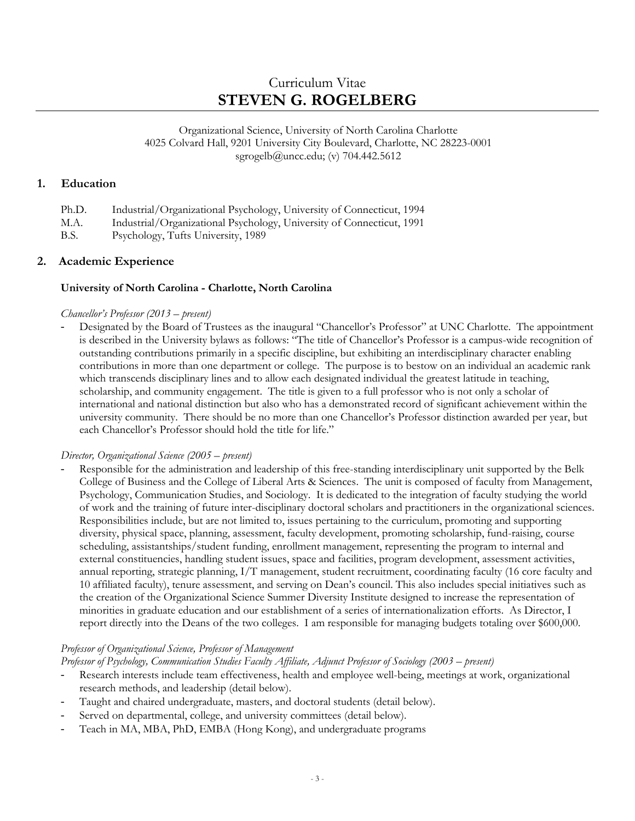# Curriculum Vitae **STEVEN G. ROGELBERG**

Organizational Science, University of North Carolina Charlotte 4025 Colvard Hall, 9201 University City Boulevard, Charlotte, NC 28223-0001 [sgrogelb@uncc.edu;](mailto:sgrogelb@uncc.edu) (v) 704.442.5612

# **1. Education**

| Ph.D. | Industrial/Organizational Psychology, University of Connecticut, 1994 |
|-------|-----------------------------------------------------------------------|
| M.A.  | Industrial/Organizational Psychology, University of Connecticut, 1991 |
| B.S.  | Psychology, Tufts University, 1989                                    |

# **2. Academic Experience**

# **University of North Carolina - Charlotte, North Carolina**

### *Chancellor's Professor (2013 – present)*

- Designated by the Board of Trustees as the inaugural "Chancellor's Professor" at UNC Charlotte. The appointment is described in the University bylaws as follows: "The title of Chancellor's Professor is a campus-wide recognition of outstanding contributions primarily in a specific discipline, but exhibiting an interdisciplinary character enabling contributions in more than one department or college. The purpose is to bestow on an individual an academic rank which transcends disciplinary lines and to allow each designated individual the greatest latitude in teaching, scholarship, and community engagement. The title is given to a full professor who is not only a scholar of international and national distinction but also who has a demonstrated record of significant achievement within the university community. There should be no more than one Chancellor's Professor distinction awarded per year, but each Chancellor's Professor should hold the title for life."

# *Director, Organizational Science (2005 – present)*

- Responsible for the administration and leadership of this free-standing interdisciplinary unit supported by the Belk College of Business and the College of Liberal Arts & Sciences. The unit is composed of faculty from Management, Psychology, Communication Studies, and Sociology. It is dedicated to the integration of faculty studying the world of work and the training of future inter-disciplinary doctoral scholars and practitioners in the organizational sciences. Responsibilities include, but are not limited to, issues pertaining to the curriculum, promoting and supporting diversity, physical space, planning, assessment, faculty development, promoting scholarship, fund-raising, course scheduling, assistantships/student funding, enrollment management, representing the program to internal and external constituencies, handling student issues, space and facilities, program development, assessment activities, annual reporting, strategic planning, I/T management, student recruitment, coordinating faculty (16 core faculty and 10 affiliated faculty), tenure assessment, and serving on Dean's council. This also includes special initiatives such as the creation of the Organizational Science Summer Diversity Institute designed to increase the representation of minorities in graduate education and our establishment of a series of internationalization efforts. As Director, I report directly into the Deans of the two colleges. I am responsible for managing budgets totaling over \$600,000.

# *Professor of Organizational Science, Professor of Management*

*Professor of Psychology, Communication Studies Faculty Affiliate, Adjunct Professor of Sociology (2003 – present)* 

- Research interests include team effectiveness, health and employee well-being, meetings at work, organizational research methods, and leadership (detail below).
- Taught and chaired undergraduate, masters, and doctoral students (detail below).
- Served on departmental, college, and university committees (detail below).
- Teach in MA, MBA, PhD, EMBA (Hong Kong), and undergraduate programs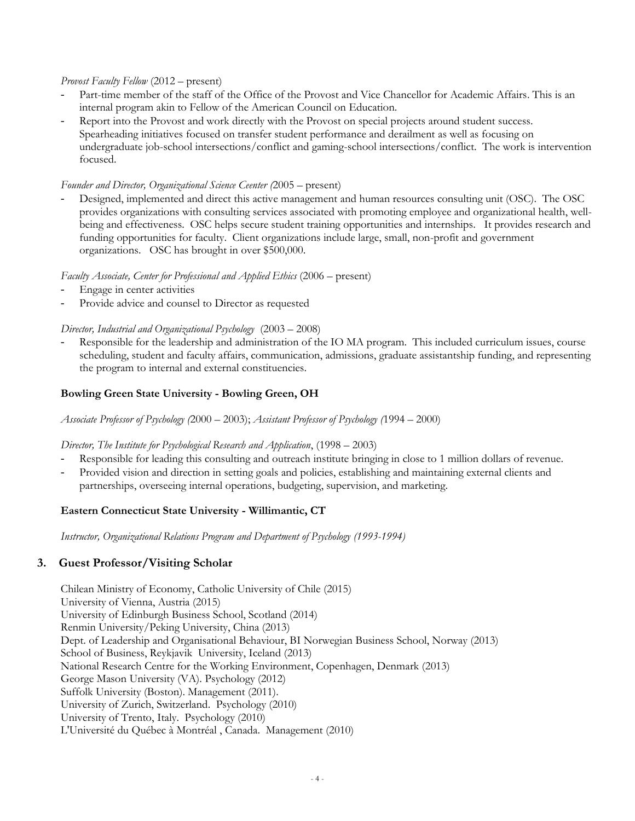### *Provost Faculty Fellow* (2012 – present)

- Part-time member of the staff of the Office of the Provost and Vice Chancellor for Academic Affairs. This is an internal program akin to Fellow of the American Council on Education.
- Report into the Provost and work directly with the Provost on special projects around student success. Spearheading initiatives focused on transfer student performance and derailment as well as focusing on undergraduate job-school intersections/conflict and gaming-school intersections/conflict. The work is intervention focused.

### *Founder and Director, Organizational Science Ceenter (*2005 – present)

- Designed, implemented and direct this active management and human resources consulting unit (OSC). The OSC provides organizations with consulting services associated with promoting employee and organizational health, wellbeing and effectiveness. OSC helps secure student training opportunities and internships. It provides research and funding opportunities for faculty. Client organizations include large, small, non-profit and government organizations. OSC has brought in over \$500,000.

# *Faculty Associate, Center for Professional and Applied Ethics* (2006 – present)

- Engage in center activities
- Provide advice and counsel to Director as requested

# *Director, Industrial and Organizational Psychology* (2003 – 2008)

Responsible for the leadership and administration of the IO MA program. This included curriculum issues, course scheduling, student and faculty affairs, communication, admissions, graduate assistantship funding, and representing the program to internal and external constituencies.

# **Bowling Green State University - Bowling Green, OH**

*Associate Professor of Psychology (*2000 – 2003); *Assistant Professor of Psychology (*1994 – 2000)

# *Director, The Institute for Psychological Research and Application*, (1998 – 2003)

- Responsible for leading this consulting and outreach institute bringing in close to 1 million dollars of revenue.
- Provided vision and direction in setting goals and policies, establishing and maintaining external clients and partnerships, overseeing internal operations, budgeting, supervision, and marketing.

# **Eastern Connecticut State University - Willimantic, CT**

*Instructor, Organizational Relations Program and Department of Psychology (1993-1994)*

# **3. Guest Professor/Visiting Scholar**

Chilean Ministry of Economy, Catholic University of Chile (2015) University of Vienna, Austria (2015) University of Edinburgh Business School, Scotland (2014) Renmin University/Peking University, China (2013) Dept. of Leadership and Organisational Behaviour, BI Norwegian Business School, Norway (2013) School of Business, Reykjavik University, Iceland (2013) National Research Centre for the Working Environment, Copenhagen, Denmark (2013) George Mason University (VA). Psychology (2012) Suffolk University (Boston). Management (2011). University of Zurich, Switzerland. Psychology (2010) University of Trento, Italy. Psychology (2010) L'Université du Québec à Montréal , Canada. Management (2010)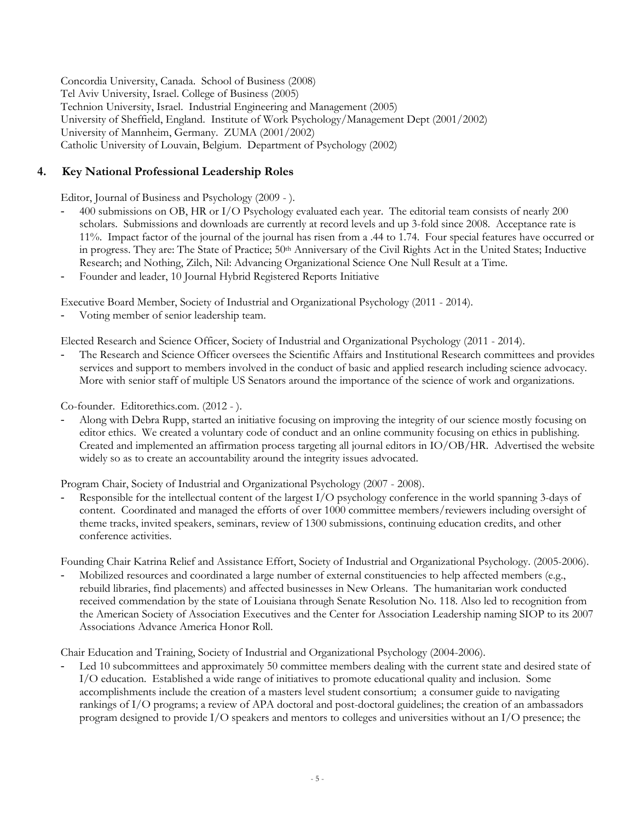Concordia University, Canada. School of Business (2008) Tel Aviv University, Israel. College of Business (2005) Technion University, Israel. Industrial Engineering and Management (2005) University of Sheffield, England. Institute of Work Psychology/Management Dept (2001/2002) University of Mannheim, Germany. ZUMA (2001/2002) Catholic University of Louvain, Belgium. Department of Psychology (2002)

# **4. Key National Professional Leadership Roles**

Editor, Journal of Business and Psychology (2009 - ).

- 400 submissions on OB, HR or I/O Psychology evaluated each year. The editorial team consists of nearly 200 scholars. Submissions and downloads are currently at record levels and up 3-fold since 2008. Acceptance rate is 11%. Impact factor of the journal of the journal has risen from a .44 to 1.74. Four special features have occurred or in progress. They are: The State of Practice; 50<sup>th</sup> Anniversary of the Civil Rights Act in the United States; Inductive Research; and Nothing, Zilch, Nil: Advancing Organizational Science One Null Result at a Time.
- Founder and leader, 10 Journal Hybrid Registered Reports Initiative

Executive Board Member, Society of Industrial and Organizational Psychology (2011 - 2014).

Voting member of senior leadership team.

Elected Research and Science Officer, Society of Industrial and Organizational Psychology (2011 - 2014).

- The Research and Science Officer oversees the Scientific Affairs and Institutional Research committees and provides services and support to members involved in the conduct of basic and applied research including science advocacy. More with senior staff of multiple US Senators around the importance of the science of work and organizations.

Co-founder. Editorethics.com. (2012 - ).

- Along with Debra Rupp, started an initiative focusing on improving the integrity of our science mostly focusing on editor ethics. We created a voluntary code of conduct and an online community focusing on ethics in publishing. Created and implemented an affirmation process targeting all journal editors in IO/OB/HR. Advertised the website widely so as to create an accountability around the integrity issues advocated.

Program Chair, Society of Industrial and Organizational Psychology (2007 - 2008).

Responsible for the intellectual content of the largest I/O psychology conference in the world spanning 3-days of content. Coordinated and managed the efforts of over 1000 committee members/reviewers including oversight of theme tracks, invited speakers, seminars, review of 1300 submissions, continuing education credits, and other conference activities.

Founding Chair Katrina Relief and Assistance Effort, Society of Industrial and Organizational Psychology. (2005-2006).

Mobilized resources and coordinated a large number of external constituencies to help affected members (e.g., rebuild libraries, find placements) and affected businesses in New Orleans. The humanitarian work conducted received commendation by the state of Louisiana through Senate Resolution No. 118. Also led to recognition from the American Society of Association Executives and the Center for Association Leadership naming SIOP to its 2007 Associations Advance America Honor Roll.

Chair Education and Training, Society of Industrial and Organizational Psychology (2004-2006).

Led 10 subcommittees and approximately 50 committee members dealing with the current state and desired state of I/O education. Established a wide range of initiatives to promote educational quality and inclusion. Some accomplishments include the creation of a masters level student consortium; a consumer guide to navigating rankings of I/O programs; a review of APA doctoral and post-doctoral guidelines; the creation of an ambassadors program designed to provide I/O speakers and mentors to colleges and universities without an I/O presence; the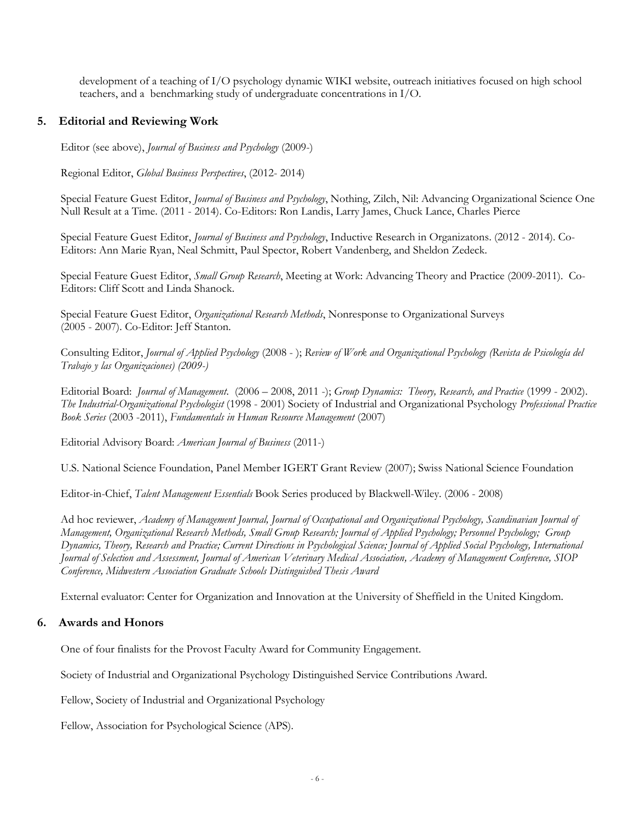development of a teaching of I/O psychology dynamic WIKI website, outreach initiatives focused on high school teachers, and a benchmarking study of undergraduate concentrations in I/O.

# **5. Editorial and Reviewing Work**

Editor (see above), *Journal of Business and Psychology* (2009-)

Regional Editor, *Global Business Perspectives*, (2012- 2014)

Special Feature Guest Editor, *Journal of Business and Psychology*, Nothing, Zilch, Nil: Advancing Organizational Science One Null Result at a Time. (2011 - 2014). Co-Editors: Ron Landis, Larry James, Chuck Lance, Charles Pierce

Special Feature Guest Editor, *Journal of Business and Psychology*, Inductive Research in Organizatons. (2012 - 2014). Co-Editors: Ann Marie Ryan, Neal Schmitt, Paul Spector, Robert Vandenberg, and Sheldon Zedeck.

Special Feature Guest Editor, *Small Group Research*, Meeting at Work: Advancing Theory and Practice (2009-2011). Co-Editors: Cliff Scott and Linda Shanock.

Special Feature Guest Editor, *Organizational Research Methods*, Nonresponse to Organizational Surveys (2005 - 2007). Co-Editor: Jeff Stanton.

Consulting Editor, *Journal of Applied Psychology* (2008 - ); *Review of Work and Organizational Psychology (Revista de Psicología del Trabajo y las Organizaciones) (2009-)*

Editorial Board: *Journal of Management*. (2006 – 2008, 2011 -); *Group Dynamics: Theory, Research, and Practice* (1999 - 2002). *The Industrial-Organizational Psychologist* (1998 - 2001) Society of Industrial and Organizational Psychology *Professional Practice Book Series* (2003 -2011), *Fundamentals in Human Resource Management* (2007)

Editorial Advisory Board: *American Journal of Business* (2011-)

U.S. National Science Foundation, Panel Member IGERT Grant Review (2007); Swiss National Science Foundation

Editor-in-Chief, *Talent Management Essentials* Book Series produced by Blackwell-Wiley. (2006 - 2008)

Ad hoc reviewer, *Academy of Management Journal, Journal of Occupational and Organizational Psychology, Scandinavian Journal of Management, Organizational Research Methods, Small Group Research; Journal of Applied Psychology; Personnel Psychology; Group Dynamics, Theory, Research and Practice; Current Directions in Psychological Science; Journal of Applied Social Psychology, International Journal of Selection and Assessment, Journal of American Veterinary Medical Association, Academy of Management Conference, SIOP Conference, Midwestern Association Graduate Schools Distinguished Thesis Award*

External evaluator: Center for Organization and Innovation at the University of Sheffield in the United Kingdom.

# **6. Awards and Honors**

One of four finalists for the Provost Faculty Award for Community Engagement.

Society of Industrial and Organizational Psychology Distinguished Service Contributions Award.

Fellow, Society of Industrial and Organizational Psychology

Fellow, Association for Psychological Science (APS).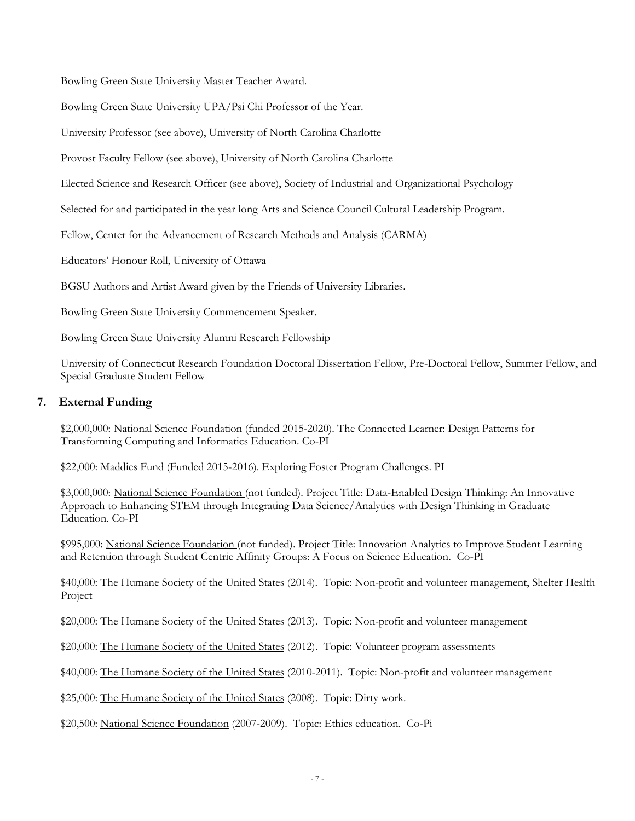Bowling Green State University Master Teacher Award.

Bowling Green State University UPA/Psi Chi Professor of the Year.

University Professor (see above), University of North Carolina Charlotte

Provost Faculty Fellow (see above), University of North Carolina Charlotte

Elected Science and Research Officer (see above), Society of Industrial and Organizational Psychology

Selected for and participated in the year long Arts and Science Council Cultural Leadership Program.

Fellow, Center for the Advancement of Research Methods and Analysis (CARMA)

Educators' Honour Roll, University of Ottawa

BGSU Authors and Artist Award given by the Friends of University Libraries.

Bowling Green State University Commencement Speaker.

Bowling Green State University Alumni Research Fellowship

University of Connecticut Research Foundation Doctoral Dissertation Fellow, Pre-Doctoral Fellow, Summer Fellow, and Special Graduate Student Fellow

# **7. External Funding**

\$2,000,000: National Science Foundation (funded 2015-2020). The Connected Learner: Design Patterns for Transforming Computing and Informatics Education. Co-PI

\$22,000: Maddies Fund (Funded 2015-2016). Exploring Foster Program Challenges. PI

\$3,000,000: National Science Foundation (not funded). Project Title: Data-Enabled Design Thinking: An Innovative Approach to Enhancing STEM through Integrating Data Science/Analytics with Design Thinking in Graduate Education. Co-PI

\$995,000: National Science Foundation (not funded). Project Title: Innovation Analytics to Improve Student Learning and Retention through Student Centric Affinity Groups: A Focus on Science Education. Co-PI

\$40,000: The Humane Society of the United States (2014). Topic: Non-profit and volunteer management, Shelter Health Project

\$20,000: The Humane Society of the United States (2013). Topic: Non-profit and volunteer management

\$20,000: The Humane Society of the United States (2012). Topic: Volunteer program assessments

\$40,000: The Humane Society of the United States (2010-2011). Topic: Non-profit and volunteer management

\$25,000: The Humane Society of the United States (2008). Topic: Dirty work.

\$20,500: National Science Foundation (2007-2009). Topic: Ethics education. Co-Pi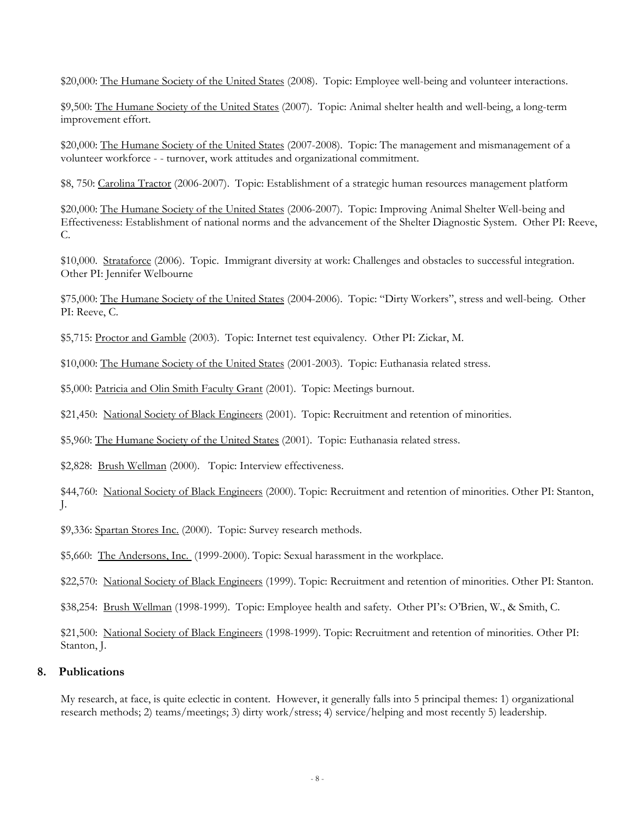\$20,000: The Humane Society of the United States (2008). Topic: Employee well-being and volunteer interactions.

\$9,500: The Humane Society of the United States (2007). Topic: Animal shelter health and well-being, a long-term improvement effort.

\$20,000: The Humane Society of the United States (2007-2008). Topic: The management and mismanagement of a volunteer workforce - - turnover, work attitudes and organizational commitment.

\$8, 750: Carolina Tractor (2006-2007). Topic: Establishment of a strategic human resources management platform

\$20,000: The Humane Society of the United States (2006-2007). Topic: Improving Animal Shelter Well-being and Effectiveness: Establishment of national norms and the advancement of the Shelter Diagnostic System. Other PI: Reeve, C.

\$10,000. Strataforce (2006). Topic. Immigrant diversity at work: Challenges and obstacles to successful integration. Other PI: Jennifer Welbourne

\$75,000: The Humane Society of the United States (2004-2006). Topic: "Dirty Workers", stress and well-being. Other PI: Reeve, C.

\$5,715: Proctor and Gamble (2003). Topic: Internet test equivalency. Other PI: Zickar, M.

\$10,000: The Humane Society of the United States (2001-2003). Topic: Euthanasia related stress.

\$5,000: Patricia and Olin Smith Faculty Grant (2001). Topic: Meetings burnout.

\$21,450: National Society of Black Engineers (2001). Topic: Recruitment and retention of minorities.

\$5,960: The Humane Society of the United States (2001). Topic: Euthanasia related stress.

\$2,828: Brush Wellman (2000). Topic: Interview effectiveness.

\$44,760: National Society of Black Engineers (2000). Topic: Recruitment and retention of minorities. Other PI: Stanton, J.

\$9,336: Spartan Stores Inc. (2000). Topic: Survey research methods.

\$5,660: The Andersons, Inc. (1999-2000). Topic: Sexual harassment in the workplace.

\$22,570: National Society of Black Engineers (1999). Topic: Recruitment and retention of minorities. Other PI: Stanton.

\$38,254: Brush Wellman (1998-1999). Topic: Employee health and safety. Other PI's: O'Brien, W., & Smith, C.

\$21,500: National Society of Black Engineers (1998-1999). Topic: Recruitment and retention of minorities. Other PI: Stanton, J.

### **8. Publications**

My research, at face, is quite eclectic in content. However, it generally falls into 5 principal themes: 1) organizational research methods; 2) teams/meetings; 3) dirty work/stress; 4) service/helping and most recently 5) leadership.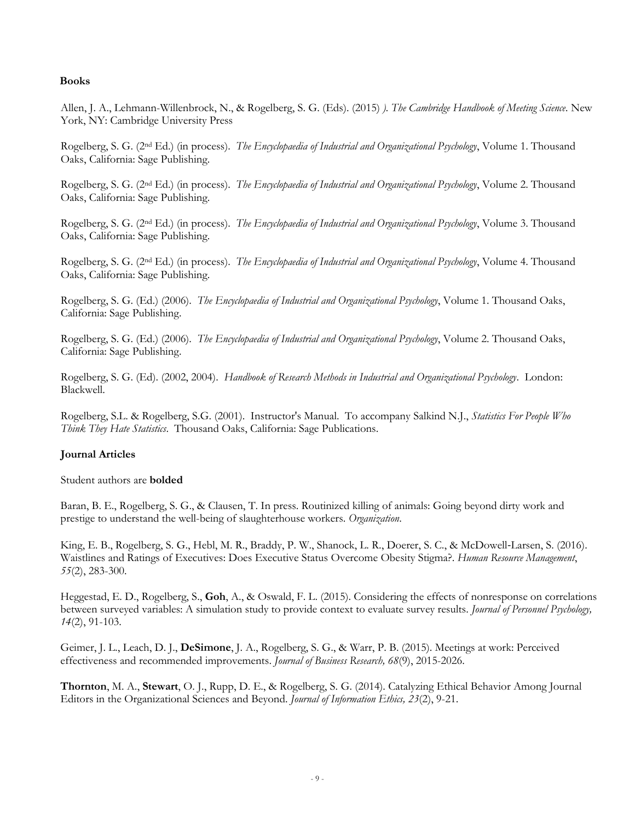### **Books**

Allen, J. A., Lehmann-Willenbrock, N., & Rogelberg, S. G. (Eds). (2015) *). The Cambridge Handbook of Meeting Science.* New York, NY: Cambridge University Press

Rogelberg, S. G. (2nd Ed.) (in process). *The Encyclopaedia of Industrial and Organizational Psychology*, Volume 1. Thousand Oaks, California: Sage Publishing.

Rogelberg, S. G. (2nd Ed.) (in process). *The Encyclopaedia of Industrial and Organizational Psychology*, Volume 2. Thousand Oaks, California: Sage Publishing.

Rogelberg, S. G. (2nd Ed.) (in process). *The Encyclopaedia of Industrial and Organizational Psychology*, Volume 3. Thousand Oaks, California: Sage Publishing.

Rogelberg, S. G. (2nd Ed.) (in process). *The Encyclopaedia of Industrial and Organizational Psychology*, Volume 4. Thousand Oaks, California: Sage Publishing.

Rogelberg, S. G. (Ed.) (2006). *The Encyclopaedia of Industrial and Organizational Psychology*, Volume 1. Thousand Oaks, California: Sage Publishing.

Rogelberg, S. G. (Ed.) (2006). *The Encyclopaedia of Industrial and Organizational Psychology*, Volume 2. Thousand Oaks, California: Sage Publishing.

Rogelberg, S. G. (Ed). (2002, 2004). *Handbook of Research Methods in Industrial and Organizational Psychology*. London: Blackwell.

Rogelberg, S.L. & Rogelberg, S.G. (2001). Instructor's Manual. To accompany Salkind N.J., *Statistics For People Who Think They Hate Statistics*. Thousand Oaks, California: Sage Publications.

# **Journal Articles**

Student authors are **bolded**

Baran, B. E., Rogelberg, S. G., & Clausen, T. In press. Routinized killing of animals: Going beyond dirty work and prestige to understand the well-being of slaughterhouse workers. *Organization*.

King, E. B., Rogelberg, S. G., Hebl, M. R., Braddy, P. W., Shanock, L. R., Doerer, S. C., & McDowell‐Larsen, S. (2016). Waistlines and Ratings of Executives: Does Executive Status Overcome Obesity Stigma?. *Human Resource Management*, *55*(2), 283-300.

Heggestad, E. D., Rogelberg, S., **Goh**, A., & Oswald, F. L. (2015). Considering the effects of nonresponse on correlations between surveyed variables: A simulation study to provide context to evaluate survey results. *Journal of Personnel Psychology, 14*(2), 91-103.

Geimer, J. L., Leach, D. J., **DeSimone**, J. A., Rogelberg, S. G., & Warr, P. B. (2015). Meetings at work: Perceived effectiveness and recommended improvements. *Journal of Business Research, 68*(9), 2015-2026.

**Thornton**, M. A., **Stewart**, O. J., Rupp, D. E., & Rogelberg, S. G. (2014). Catalyzing Ethical Behavior Among Journal Editors in the Organizational Sciences and Beyond. *Journal of Information Ethics, 23*(2), 9-21.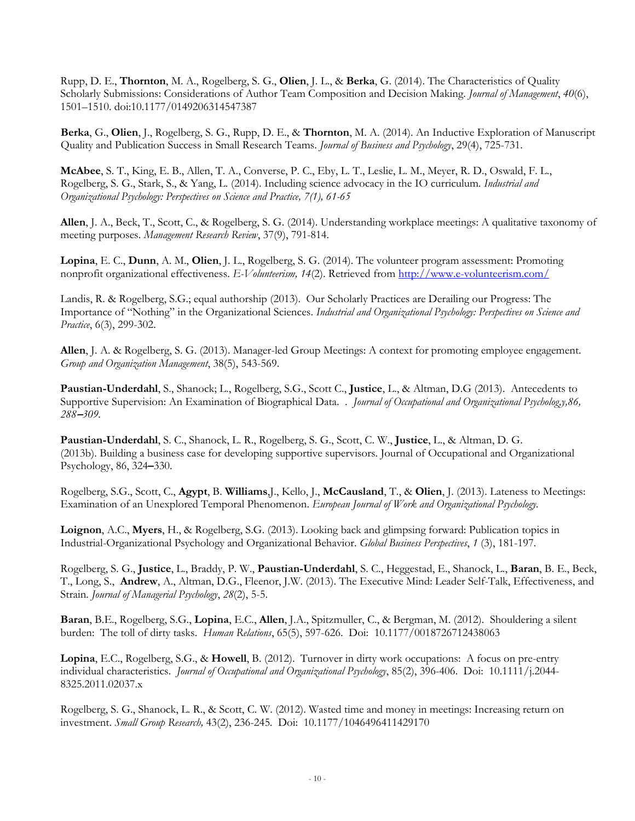Rupp, D. E., **Thornton**, M. A., Rogelberg, S. G., **Olien**, J. L., & **Berka**, G. (2014). The Characteristics of Quality Scholarly Submissions: Considerations of Author Team Composition and Decision Making. *Journal of Management*, *40*(6), 1501–1510. doi:10.1177/0149206314547387

**Berka**, G., **Olien**, J., Rogelberg, S. G., Rupp, D. E., & **Thornton**, M. A. (2014). An Inductive Exploration of Manuscript Quality and Publication Success in Small Research Teams. *Journal of Business and Psychology*, 29(4), 725-731.

**McAbee**, S. T., King, E. B., Allen, T. A., Converse, P. C., Eby, L. T., Leslie, L. M., Meyer, R. D., Oswald, F. L., Rogelberg, S. G., Stark, S., & Yang, L. (2014). Including science advocacy in the IO curriculum*. Industrial and Organizational Psychology: Perspectives on Science and Practice, 7(1), 61-65*

**Allen**, J. A., Beck, T., Scott, C., & Rogelberg, S. G. (2014). Understanding workplace meetings: A qualitative taxonomy of meeting purposes. *Management Research Review*, 37(9), 791-814.

**Lopina**, E. C., **Dunn**, A. M., **Olien**, J. L., Rogelberg, S. G. (2014). The volunteer program assessment: Promoting nonprofit organizational effectiveness. *E-Volunteerism, 14*(2). Retrieved from<http://www.e-volunteerism.com/>

Landis, R. & Rogelberg, S.G.; equal authorship (2013). Our Scholarly Practices are Derailing our Progress: The Importance of "Nothing" in the Organizational Sciences. *Industrial and Organizational Psychology: Perspectives on Science and Practice*, 6(3), 299-302.

**Allen**, J. A. & Rogelberg, S. G. (2013). Manager-led Group Meetings: A context for promoting employee engagement. *Group and Organization Management*, 38(5), 543-569.

**Paustian-Underdahl**, S., Shanock; L., Rogelberg, S.G., Scott C., **Justice**, L., & Altman, D.G (2013). Antecedents to Supportive Supervision: An Examination of Biographical Data. . *Journal of Occupational and Organizational Psycholog,y,86, 288***–***309.*

**Paustian-Underdahl**, S. C., Shanock, L. R., Rogelberg, S. G., Scott, C. W., **Justice**, L., & Altman, D. G. (2013b). Building a business case for developing supportive supervisors. Journal of Occupational and Organizational Psychology, 86, 324**–**330.

Rogelberg, S.G., Scott, C., **Agypt**, B. **Williams**,J., Kello, J., **McCausland**, T., & **Olien**, J. (2013). Lateness to Meetings: Examination of an Unexplored Temporal Phenomenon. *European Journal of Work and Organizational Psychology.*

**Loignon**, A.C., **Myers**, H., & Rogelberg, S.G. (2013). Looking back and glimpsing forward: Publication topics in Industrial-Organizational Psychology and Organizational Behavior. *Global Business Perspectives*, *1* (3), 181-197.

Rogelberg, S. G., **Justice**, L., Braddy, P. W., **Paustian-Underdahl**, S. C., Heggestad, E., Shanock, L., **Baran**, B. E., Beck, T., Long, S., **Andrew**, A., Altman, D.G., Fleenor, J.W. (2013). The Executive Mind: Leader Self-Talk, Effectiveness, and Strain. *Journal of Managerial Psychology*, *28*(2), 5-5.

**Baran**, B.E., Rogelberg, S.G., **Lopina**, E.C., **Allen**, J.A., Spitzmuller, C., & Bergman, M. (2012). Shouldering a silent burden: The toll of dirty tasks. *Human Relations*, 65(5), 597-626. Doi: 10.1177/0018726712438063

**Lopina**, E.C., Rogelberg, S.G., & **Howell**, B. (2012). Turnover in dirty work occupations: A focus on pre-entry individual characteristics. *Journal of Occupational and Organizational Psychology*, 85(2), 396-406. Doi: 10.1111/j.2044- 8325.2011.02037.x

Rogelberg, S. G., Shanock, L. R., & Scott, C. W. (2012). Wasted time and money in meetings: Increasing return on investment. *Small Group Research,* 43(2), 236-245*.* Doi: 10.1177/1046496411429170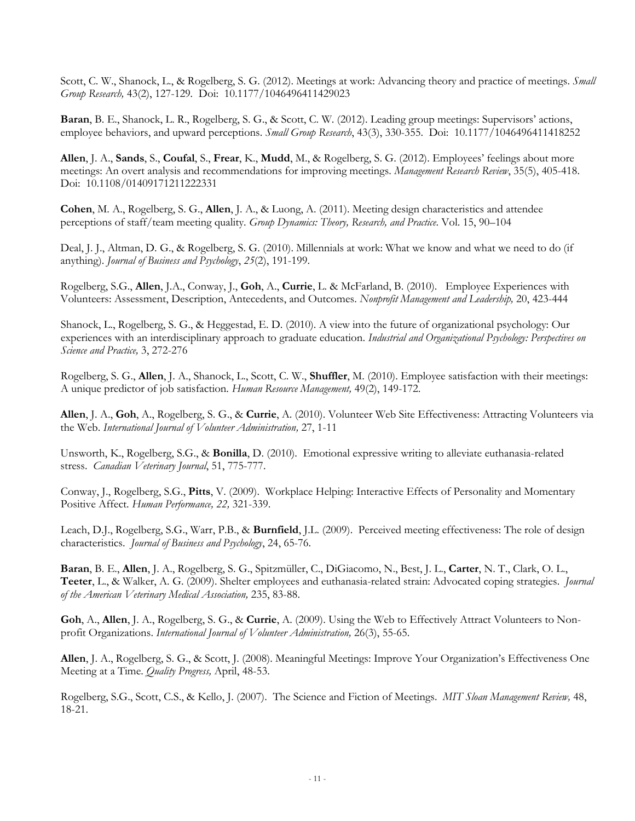Scott, C. W., Shanock, L., & Rogelberg, S. G. (2012). Meetings at work: Advancing theory and practice of meetings. *Small Group Research,* 43(2), 127-129*.* Doi:10.1177/1046496411429023

**Baran**, B. E., Shanock, L. R., Rogelberg, S. G., & Scott, C. W. (2012). Leading group meetings: Supervisors' actions, employee behaviors, and upward perceptions. *Small Group Research*, 43(3), 330-355. Doi: 10.1177/1046496411418252

**Allen**, J. A., **Sands**, S., **Coufal**, S., **Frear**, K., **Mudd**, M., & Rogelberg, S. G. (2012). Employees' feelings about more meetings: An overt analysis and recommendations for improving meetings. *Management Research Review*, 35(5), 405-418. Doi: 10.1108/01409171211222331

**Cohen**, M. A., Rogelberg, S. G., **Allen**, J. A., & Luong, A. (2011). Meeting design characteristics and attendee perceptions of staff/team meeting quality. *Group Dynamics: Theory, Research, and Practice*. Vol. 15, 90–104

Deal, J. J., Altman, D. G., & Rogelberg, S. G. (2010). Millennials at work: What we know and what we need to do (if anything). *Journal of Business and Psychology*, *25*(2), 191-199.

Rogelberg, S.G., **Allen**, J.A., Conway, J., **Goh**, A., **Currie**, L. & McFarland, B. (2010). Employee Experiences with Volunteers: Assessment, Description, Antecedents, and Outcomes. *Nonprofit Management and Leadership,* 20, 423-444

Shanock, L., Rogelberg, S. G., & Heggestad, E. D. (2010). A view into the future of organizational psychology: Our experiences with an interdisciplinary approach to graduate education. *Industrial and Organizational Psychology: Perspectives on Science and Practice,* 3, 272-276

Rogelberg, S. G., **Allen**, J. A., Shanock, L., Scott, C. W., **Shuffler**, M. (2010). Employee satisfaction with their meetings: A unique predictor of job satisfaction. *Human Resource Management,* 49(2), 149-172.

**Allen**, J. A., **Goh**, A., Rogelberg, S. G., & **Currie**, A. (2010). Volunteer Web Site Effectiveness: Attracting Volunteers via the Web. *International Journal of Volunteer Administration,* 27, 1-11

Unsworth, K., Rogelberg, S.G., & **Bonilla**, D. (2010). Emotional expressive writing to alleviate euthanasia-related stress. *Canadian Veterinary Journal*, 51, 775-777.

Conway, J., Rogelberg, S.G., **Pitts**, V. (2009). Workplace Helping: Interactive Effects of Personality and Momentary Positive Affect. *Human Performance, 22,* 321-339.

Leach, D.J., Rogelberg, S.G., Warr, P.B., & **Burnfield**, J.L. (2009). Perceived meeting effectiveness: The role of design characteristics. *Journal of Business and Psychology*, 24, 65-76.

**Baran**, B. E., **Allen**, J. A., Rogelberg, S. G., Spitzmüller, C., DiGiacomo, N., Best, J. L., **Carter**, N. T., Clark, O. L., **Teeter**, L., & Walker, A. G. (2009). Shelter employees and euthanasia-related strain: Advocated coping strategies. *Journal of the American Veterinary Medical Association,* 235, 83-88.

**Goh**, A., **Allen**, J. A., Rogelberg, S. G., & **Currie**, A. (2009). Using the Web to Effectively Attract Volunteers to Nonprofit Organizations. *International Journal of Volunteer Administration,* 26(3), 55-65.

**Allen**, J. A., Rogelberg, S. G., & Scott, J. (2008). Meaningful Meetings: Improve Your Organization's Effectiveness One Meeting at a Time. *Quality Progress,* April, 48-53.

Rogelberg, S.G., Scott, C.S., & Kello, J. (2007). The Science and Fiction of Meetings. *MIT Sloan Management Review,* 48, 18-21.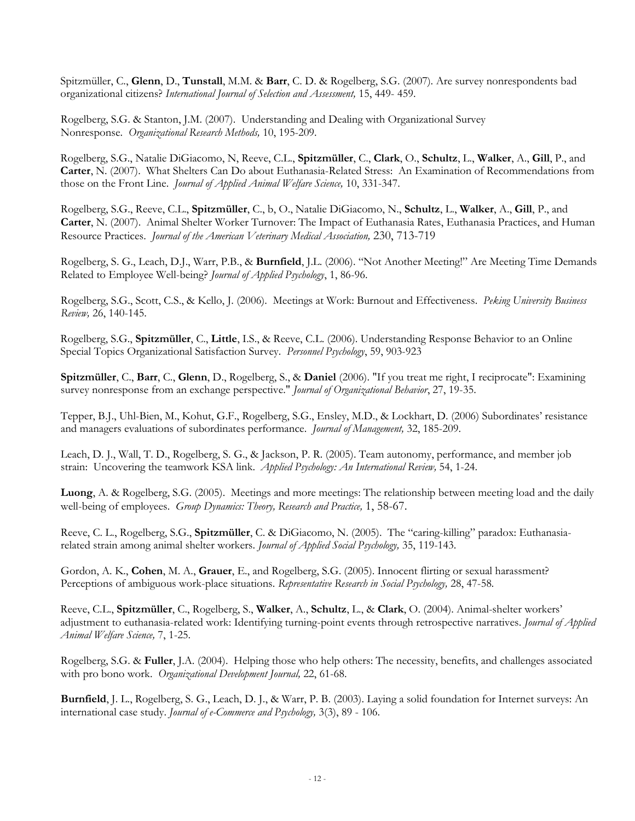Spitzmüller, C., **Glenn**, D., **Tunstall**, M.M. & **Barr**, C. D. & Rogelberg, S.G. (2007). Are survey nonrespondents bad organizational citizens? *International Journal of Selection and Assessment,* 15, 449- 459.

Rogelberg, S.G. & Stanton, J.M. (2007). Understanding and Dealing with Organizational Survey Nonresponse. *Organizational Research Methods,* 10, 195-209.

Rogelberg, S.G., Natalie DiGiacomo, N, Reeve, C.L., **Spitzmüller**, C., **Clark**, O., **Schultz**, L., **Walker**, A., **Gill**, P., and **Carter**, N. (2007). What Shelters Can Do about Euthanasia-Related Stress: An Examination of Recommendations from those on the Front Line. *Journal of Applied Animal Welfare Science,* 10, 331-347.

Rogelberg, S.G., Reeve, C.L., **Spitzmüller**, C., b, O., Natalie DiGiacomo, N., **Schultz**, L., **Walker**, A., **Gill**, P., and **Carter**, N. (2007). Animal Shelter Worker Turnover: The Impact of Euthanasia Rates, Euthanasia Practices, and Human Resource Practices. *Journal of the American Veterinary Medical Association,* 230, 713-719

Rogelberg, S. G., Leach, D.J., Warr, P.B., & **Burnfield**, J.L. (2006). "Not Another Meeting!" Are Meeting Time Demands Related to Employee Well-being? *Journal of Applied Psychology*, 1, 86-96.

Rogelberg, S.G., Scott, C.S., & Kello, J. (2006). Meetings at Work: Burnout and Effectiveness. *Peking University Business Review,* 26, 140-145.

Rogelberg, S.G., **Spitzmüller**, C., **Little**, I.S., & Reeve, C.L. (2006). Understanding Response Behavior to an Online Special Topics Organizational Satisfaction Survey. *Personnel Psychology*, 59, 903-923

**Spitzmüller**, C., **Barr**, C., **Glenn**, D., Rogelberg, S., & **Daniel** (2006). "If you treat me right, I reciprocate": Examining survey nonresponse from an exchange perspective." *Journal of Organizational Behavior*, 27, 19-35.

Tepper, B.J., Uhl-Bien, M., Kohut, G.F., Rogelberg, S.G., Ensley, M.D., & Lockhart, D. (2006) Subordinates' resistance and managers evaluations of subordinates performance. *Journal of Management,* 32, 185-209.

Leach, D. J., Wall, T. D., Rogelberg, S. G., & Jackson, P. R. (2005). Team autonomy, performance, and member job strain: Uncovering the teamwork KSA link. *Applied Psychology: An International Review,* 54, 1-24.

**Luong**, A. & Rogelberg, S.G. (2005). Meetings and more meetings: The relationship between meeting load and the daily well-being of employees. *Group Dynamics: Theory, Research and Practice,* 1, 58-67.

Reeve, C. L., Rogelberg, S.G., **Spitzmüller**, C. & DiGiacomo, N. (2005). The "caring-killing" paradox: Euthanasiarelated strain among animal shelter workers. *Journal of Applied Social Psychology,* 35, 119-143.

Gordon, A. K., **Cohen**, M. A., **Grauer**, E., and Rogelberg, S.G. (2005). Innocent flirting or sexual harassment? Perceptions of ambiguous work-place situations. *Representative Research in Social Psychology,* 28, 47-58*.*

Reeve, C.L., **Spitzmüller**, C., Rogelberg, S., **Walker**, A., **Schultz**, L., & **Clark**, O. (2004). Animal-shelter workers' adjustment to euthanasia-related work: Identifying turning-point events through retrospective narratives. *Journal of Applied Animal Welfare Science,* 7, 1-25.

Rogelberg, S.G. & **Fuller**, J.A. (2004). Helping those who help others: The necessity, benefits, and challenges associated with pro bono work. *Organizational Development Journal,* 22, 61-68.

**Burnfield**, J. L., Rogelberg, S. G., Leach, D. J., & Warr, P. B. (2003). Laying a solid foundation for Internet surveys: An international case study. *Journal of e-Commerce and Psychology,* 3(3), 89 - 106.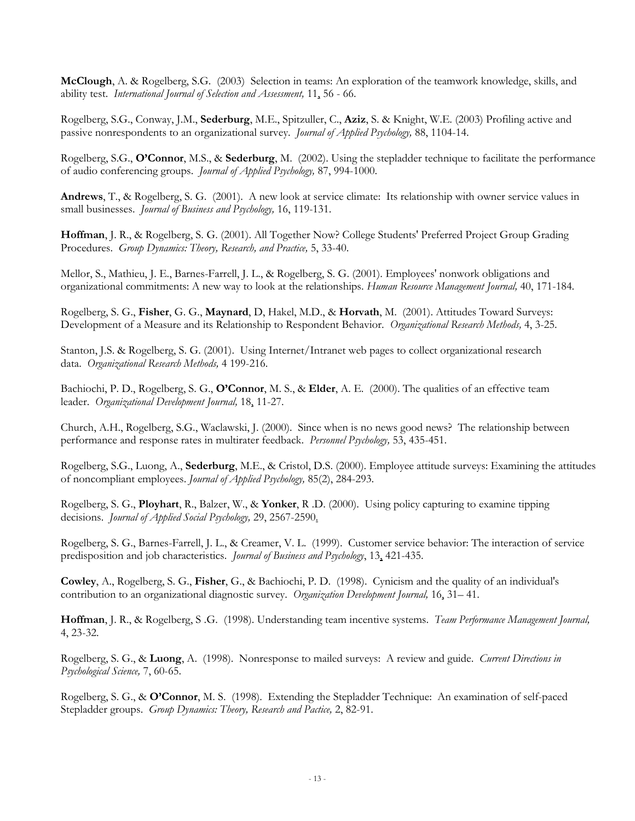**McClough**, A. & Rogelberg, S.G. (2003) Selection in teams: An exploration of the teamwork knowledge, skills, and ability test. *International Journal of Selection and Assessment,* 11, 56 - 66.

Rogelberg, S.G., Conway, J.M., **Sederburg**, M.E., Spitzuller, C., **Aziz**, S. & Knight, W.E. (2003) Profiling active and passive nonrespondents to an organizational survey. *Journal of Applied Psychology,* 88, 1104-14.

Rogelberg, S.G., **O'Connor**, M.S., & **Sederburg**, M. (2002). Using the stepladder technique to facilitate the performance of audio conferencing groups. *Journal of Applied Psychology,* 87, 994-1000.

**Andrews**, T., & Rogelberg, S. G. (2001). A new look at service climate: Its relationship with owner service values in small businesses. *Journal of Business and Psychology,* 16, 119-131.

**Hoffman**, J. R., & Rogelberg, S. G. (2001). All Together Now? College Students' Preferred Project Group Grading Procedures. *Group Dynamics: Theory, Research, and Practice,* 5, 33-40.

Mellor, S., Mathieu, J. E., Barnes-Farrell, J. L., & Rogelberg, S. G. (2001). Employees' nonwork obligations and organizational commitments: A new way to look at the relationships. *Human Resource Management Journal,* 40, 171-184.

Rogelberg, S. G., **Fisher**, G. G., **Maynard**, D, Hakel, M.D., & **Horvath**, M. (2001). Attitudes Toward Surveys: Development of a Measure and its Relationship to Respondent Behavior. *Organizational Research Methods,* 4, 3-25.

Stanton, J.S. & Rogelberg, S. G. (2001). Using Internet/Intranet web pages to collect organizational research data. *Organizational Research Methods,* 4 199-216.

Bachiochi, P. D., Rogelberg, S. G., **O'Connor**, M. S., & **Elder**, A. E. (2000). The qualities of an effective team leader. *Organizational Development Journal,* 18, 11-27.

Church, A.H., Rogelberg, S.G., Waclawski, J. (2000). Since when is no news good news? The relationship between performance and response rates in multirater feedback. *Personnel Psychology,* 53, 435-451.

Rogelberg, S.G., Luong, A., **Sederburg**, M.E., & Cristol, D.S. (2000). Employee attitude surveys: Examining the attitudes of noncompliant employees. *Journal of Applied Psychology,* 85(2), 284-293.

Rogelberg, S. G., **Ployhart**, R., Balzer, W., & **Yonker**, R .D. (2000). Using policy capturing to examine tipping decisions. *Journal of Applied Social Psychology,* 29, 2567-2590.

Rogelberg, S. G., Barnes-Farrell, J. L., & Creamer, V. L. (1999). Customer service behavior: The interaction of service predisposition and job characteristics. *Journal of Business and Psychology*, 13, 421-435.

**Cowley**, A., Rogelberg, S. G., **Fisher**, G., & Bachiochi, P. D. (1998). Cynicism and the quality of an individual's contribution to an organizational diagnostic survey. *Organization Development Journal,* 16, 31– 41.

**Hoffman**, J. R., & Rogelberg, S .G. (1998). Understanding team incentive systems. *Team Performance Management Journal,*  4, 23-32.

Rogelberg, S. G., & **Luong**, A. (1998). Nonresponse to mailed surveys: A review and guide. *Current Directions in Psychological Science,* 7, 60-65.

Rogelberg, S. G., & **O'Connor**, M. S. (1998). Extending the Stepladder Technique: An examination of self-paced Stepladder groups. *Group Dynamics: Theory, Research and Pactice,* 2, 82-91.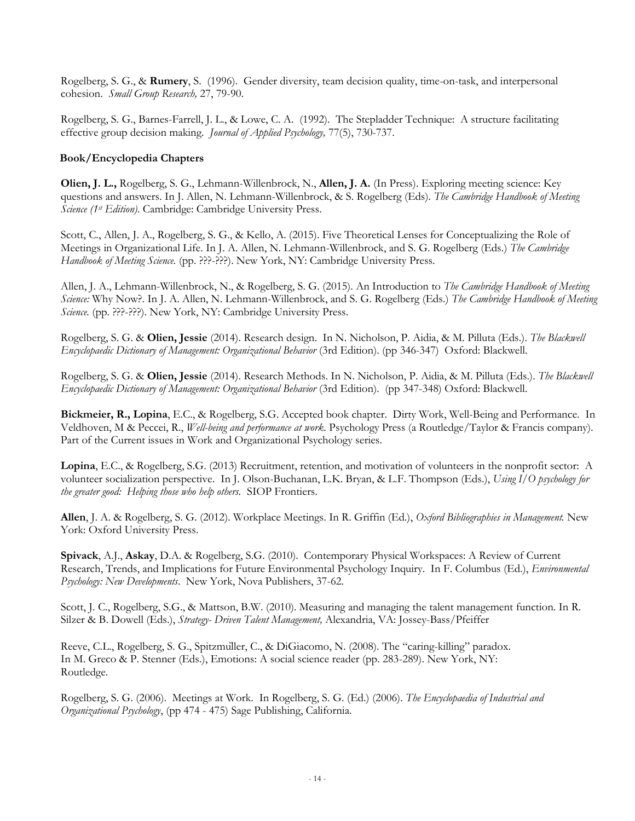Rogelberg, S. G., & **Rumery**, S. (1996). Gender diversity, team decision quality, time-on-task, and interpersonal cohesion. *Small Group Research,* 27, 79-90.

Rogelberg, S. G., Barnes-Farrell, J. L., & Lowe, C. A. (1992). The Stepladder Technique: A structure facilitating effective group decision making. *Journal of Applied Psychology,* 77(5), 730-737.

### **Book/Encyclopedia Chapters**

**Olien, J. L.,** Rogelberg, S. G., Lehmann-Willenbrock, N., **Allen, J. A.** (In Press). Exploring meeting science: Key questions and answers. In J. Allen, N. Lehmann-Willenbrock, & S. Rogelberg (Eds). *The Cambridge Handbook of Meeting Science (1st Edition)*. Cambridge: Cambridge University Press.

Scott, C., Allen, J. A., Rogelberg, S. G., & Kello, A. (2015). Five Theoretical Lenses for Conceptualizing the Role of Meetings in Organizational Life. In J. A. Allen, N. Lehmann-Willenbrock, and S. G. Rogelberg (Eds.) *The Cambridge Handbook of Meeting Science.* (pp. ???-???). New York, NY: Cambridge University Press.

Allen, J. A., Lehmann-Willenbrock, N., & Rogelberg, S. G. (2015). An Introduction to *The Cambridge Handbook of Meeting Science:* Why Now?. In J. A. Allen, N. Lehmann-Willenbrock, and S. G. Rogelberg (Eds.) *The Cambridge Handbook of Meeting Science.* (pp. ???-???). New York, NY: Cambridge University Press.

Rogelberg, S. G. & **Olien, Jessie** (2014). Research design. In N. Nicholson, P. Aidia, & M. Pilluta (Eds.). *The Blackwell Encyclopaedic Dictionary of Management: Organizational Behavior* (3rd Edition). (pp 346-347) Oxford: Blackwell.

Rogelberg, S. G. & **Olien, Jessie** (2014). Research Methods. In N. Nicholson, P. Aidia, & M. Pilluta (Eds.). *The Blackwell Encyclopaedic Dictionary of Management: Organizational Behavior* (3rd Edition). (pp 347-348) Oxford: Blackwell.

**Bickmeier, R., Lopina**, E.C., & Rogelberg, S.G. Accepted book chapter. Dirty Work, Well-Being and Performance. In Veldhoven, M & Peccei, R., *Well-being and performance at work.* Psychology Press (a Routledge/Taylor & Francis company). Part of the Current issues in Work and Organizational Psychology series.

**Lopina**, E.C., & Rogelberg, S.G. (2013) Recruitment, retention, and motivation of volunteers in the nonprofit sector: A volunteer socialization perspective. In J. Olson-Buchanan, L.K. Bryan, & L.F. Thompson (Eds.), *Using I/O psychology for the greater good: Helping those who help others.* SIOP Frontiers.

**Allen**, J. A. & Rogelberg, S. G. (2012). Workplace Meetings. In R. Griffin (Ed.), *Oxford Bibliographies in Management.* New York: Oxford University Press.

**Spivack**, A.J., **Askay**, D.A. & Rogelberg, S.G. (2010). Contemporary Physical Workspaces: A Review of Current Research, Trends, and Implications for Future Environmental Psychology Inquiry. In F. Columbus (Ed.), *Environmental Psychology: New Developments*. New York, Nova Publishers, 37-62.

Scott, J. C., Rogelberg, S.G., & Mattson, B.W. (2010). Measuring and managing the talent management function. In R. Silzer & B. Dowell (Eds.), *Strategy- Driven Talent Management,* Alexandria, VA: Jossey-Bass/Pfeiffer

Reeve, C.L., Rogelberg, S. G., Spitzmüller, C., & DiGiacomo, N. (2008). The "caring-killing" paradox. In M. Greco & P. Stenner (Eds.), Emotions: A social science reader (pp. 283-289). New York, NY: Routledge.

Rogelberg, S. G. (2006). Meetings at Work. In Rogelberg, S. G. (Ed.) (2006). *The Encyclopaedia of Industrial and Organizational Psychology*, (pp 474 - 475) Sage Publishing, California.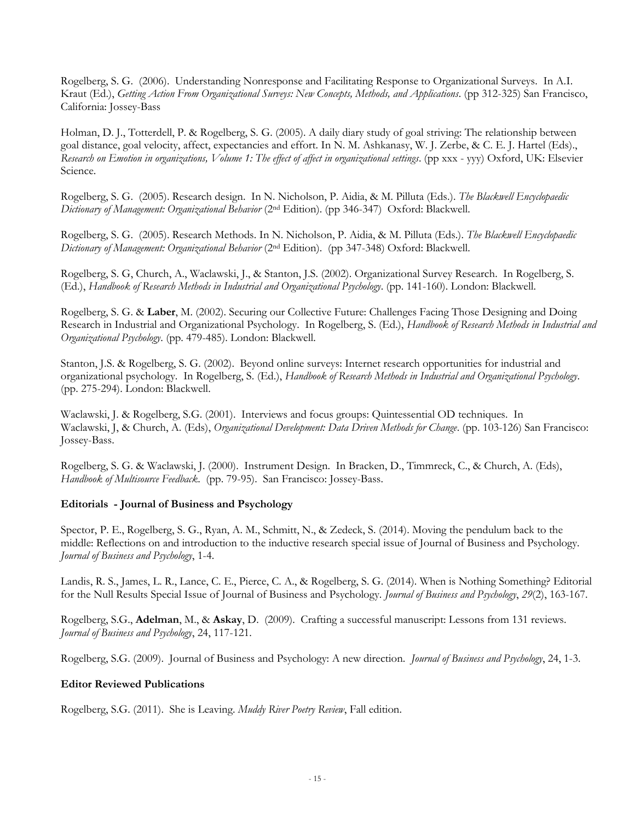Rogelberg, S. G. (2006). Understanding Nonresponse and Facilitating Response to Organizational Surveys. In A.I. Kraut (Ed.), *Getting Action From Organizational Surveys: New Concepts, Methods, and Applications*. (pp 312-325) San Francisco, California: Jossey-Bass

Holman, D. J., Totterdell, P. & Rogelberg, S. G. (2005). A daily diary study of goal striving: The relationship between goal distance, goal velocity, affect, expectancies and effort. In N. M. Ashkanasy, W. J. Zerbe, & C. E. J. Hartel (Eds)., *Research on Emotion in organizations, Volume 1: The effect of affect in organizational settings*. (pp xxx - yyy) Oxford, UK: Elsevier Science.

Rogelberg, S. G. (2005). Research design. In N. Nicholson, P. Aidia, & M. Pilluta (Eds.). *The Blackwell Encyclopaedic Dictionary of Management: Organizational Behavior* (2nd Edition). (pp 346-347) Oxford: Blackwell.

Rogelberg, S. G. (2005). Research Methods. In N. Nicholson, P. Aidia, & M. Pilluta (Eds.). *The Blackwell Encyclopaedic Dictionary of Management: Organizational Behavior* (2nd Edition). (pp 347-348) Oxford: Blackwell.

Rogelberg, S. G, Church, A., Waclawski, J., & Stanton, J.S. (2002). Organizational Survey Research. In Rogelberg, S. (Ed.), *Handbook of Research Methods in Industrial and Organizational Psychology*. (pp. 141-160). London: Blackwell.

Rogelberg, S. G. & **Laber**, M. (2002). Securing our Collective Future: Challenges Facing Those Designing and Doing Research in Industrial and Organizational Psychology. In Rogelberg, S. (Ed.), *Handbook of Research Methods in Industrial and Organizational Psychology*. (pp. 479-485). London: Blackwell.

Stanton, J.S. & Rogelberg, S. G. (2002). Beyond online surveys: Internet research opportunities for industrial and organizational psychology. In Rogelberg, S. (Ed.), *Handbook of Research Methods in Industrial and Organizational Psychology*. (pp. 275-294). London: Blackwell.

Waclawski, J. & Rogelberg, S.G. (2001). Interviews and focus groups: Quintessential OD techniques. In Waclawski, J, & Church, A. (Eds), *Organizational Development: Data Driven Methods for Change*. (pp. 103-126) San Francisco: Jossey-Bass.

Rogelberg, S. G. & Waclawski, J. (2000). Instrument Design. In Bracken, D., Timmreck, C., & Church, A. (Eds), *Handbook of Multisource Feedback*. (pp. 79-95). San Francisco: Jossey-Bass.

# **Editorials - Journal of Business and Psychology**

Spector, P. E., Rogelberg, S. G., Ryan, A. M., Schmitt, N., & Zedeck, S. (2014). Moving the pendulum back to the middle: Reflections on and introduction to the inductive research special issue of Journal of Business and Psychology. *Journal of Business and Psychology*, 1-4.

Landis, R. S., James, L. R., Lance, C. E., Pierce, C. A., & Rogelberg, S. G. (2014). When is Nothing Something? Editorial for the Null Results Special Issue of Journal of Business and Psychology. *Journal of Business and Psychology*, *29*(2), 163-167.

Rogelberg, S.G., **Adelman**, M., & **Askay**, D. (2009). Crafting a successful manuscript: Lessons from 131 reviews. *Journal of Business and Psychology*, 24, 117-121.

Rogelberg, S.G. (2009). Journal of Business and Psychology: A new direction. *Journal of Business and Psychology*, 24, 1-3.

#### **Editor Reviewed Publications**

Rogelberg, S.G. (2011). She is Leaving. *Muddy River Poetry Review*, Fall edition.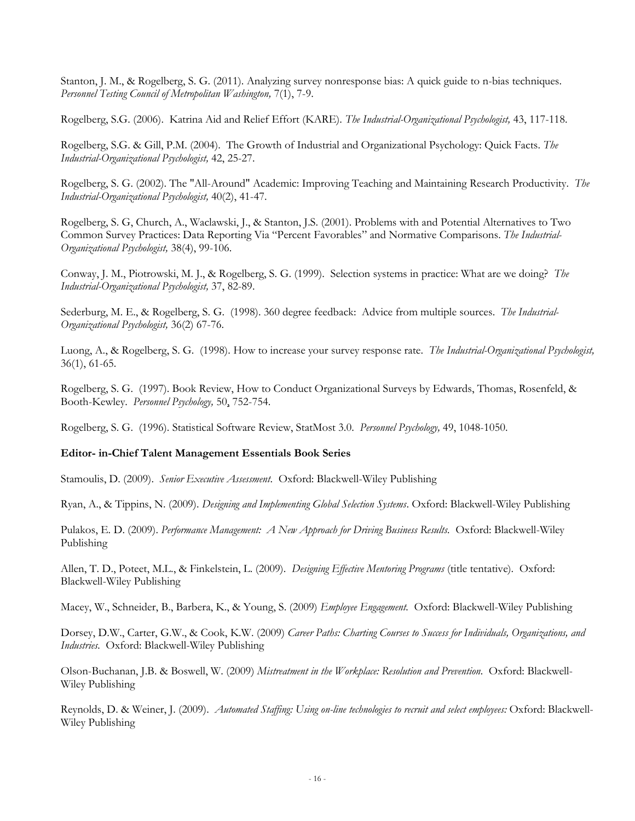Stanton, J. M., & Rogelberg, S. G. (2011). Analyzing survey nonresponse bias: A quick guide to n-bias techniques. *Personnel Testing Council of Metropolitan Washington,* 7(1), 7-9.

Rogelberg, S.G. (2006). Katrina Aid and Relief Effort (KARE). *The Industrial-Organizational Psychologist,* 43, 117-118.

Rogelberg, S.G. & Gill, P.M. (2004). The Growth of Industrial and Organizational Psychology: Quick Facts. *The Industrial-Organizational Psychologist,* 42, 25-27.

Rogelberg, S. G. (2002). The "All-Around" Academic: Improving Teaching and Maintaining Research Productivity. *The Industrial-Organizational Psychologist,* 40(2), 41-47.

Rogelberg, S. G, Church, A., Waclawski, J., & Stanton, J.S. (2001). Problems with and Potential Alternatives to Two Common Survey Practices: Data Reporting Via "Percent Favorables" and Normative Comparisons. *The Industrial-Organizational Psychologist,* 38(4), 99-106.

Conway, J. M., Piotrowski, M. J., & Rogelberg, S. G. (1999). Selection systems in practice: What are we doing? *The Industrial-Organizational Psychologist,* 37, 82-89.

Sederburg, M. E., & Rogelberg, S. G. (1998). 360 degree feedback: Advice from multiple sources. *The Industrial-Organizational Psychologist,* 36(2) 67-76.

Luong, A., & Rogelberg, S. G. (1998). How to increase your survey response rate. *The Industrial-Organizational Psychologist,*  36(1), 61-65.

Rogelberg, S. G. (1997). Book Review, How to Conduct Organizational Surveys by Edwards, Thomas, Rosenfeld, & Booth-Kewley. *Personnel Psychology,* 50, 752-754.

Rogelberg, S. G. (1996). Statistical Software Review, StatMost 3.0. *Personnel Psychology,* 49, 1048-1050.

#### **Editor- in-Chief Talent Management Essentials Book Series**

Stamoulis, D. (2009). *Senior Executive Assessment*. Oxford: Blackwell-Wiley Publishing

Ryan, A., & Tippins, N. (2009). *Designing and Implementing Global Selection Systems*. Oxford: Blackwell-Wiley Publishing

Pulakos, E. D. (2009). *Performance Management: A New Approach for Driving Business Results.* Oxford: Blackwell-Wiley Publishing

Allen, T. D., Poteet, M.L., & Finkelstein, L. (2009). *Designing Effective Mentoring Programs* (title tentative). Oxford: Blackwell-Wiley Publishing

Macey, W., Schneider, B., Barbera, K., & Young, S. (2009) *Employee Engagement.* Oxford: Blackwell-Wiley Publishing

Dorsey, D.W., Carter, G.W., & Cook, K.W. (2009) *Career Paths: Charting Courses to Success for Individuals, Organizations, and Industries.* Oxford: Blackwell-Wiley Publishing

Olson-Buchanan, J.B. & Boswell, W. (2009) *Mistreatment in the Workplace: Resolution and Prevention.* Oxford: Blackwell-Wiley Publishing

Reynolds, D. & Weiner, J. (2009). *Automated Staffing: Using on-line technologies to recruit and select employees:* Oxford: Blackwell-Wiley Publishing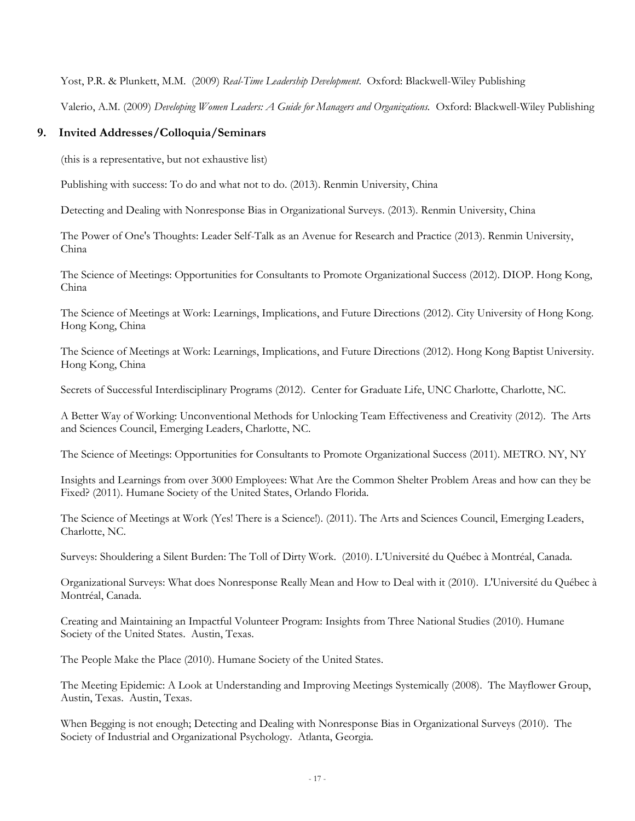Yost, P.R. & Plunkett, M.M. (2009) *Real-Time Leadership Development*. Oxford: Blackwell-Wiley Publishing

Valerio, A.M. (2009) *Developing Women Leaders: A Guide for Managers and Organizations.* Oxford: Blackwell-Wiley Publishing

# **9. Invited Addresses/Colloquia/Seminars**

(this is a representative, but not exhaustive list)

Publishing with success: To do and what not to do. (2013). Renmin University, China

Detecting and Dealing with Nonresponse Bias in Organizational Surveys. (2013). Renmin University, China

The Power of One's Thoughts: Leader Self-Talk as an Avenue for Research and Practice (2013). Renmin University, China

The Science of Meetings: Opportunities for Consultants to Promote Organizational Success (2012). DIOP. Hong Kong, China

The Science of Meetings at Work: Learnings, Implications, and Future Directions (2012). City University of Hong Kong. Hong Kong, China

The Science of Meetings at Work: Learnings, Implications, and Future Directions (2012). Hong Kong Baptist University. Hong Kong, China

Secrets of Successful Interdisciplinary Programs (2012). Center for Graduate Life, UNC Charlotte, Charlotte, NC.

A Better Way of Working: Unconventional Methods for Unlocking Team Effectiveness and Creativity (2012). The Arts and Sciences Council, Emerging Leaders, Charlotte, NC.

The Science of Meetings: Opportunities for Consultants to Promote Organizational Success (2011). METRO. NY, NY

Insights and Learnings from over 3000 Employees: What Are the Common Shelter Problem Areas and how can they be Fixed? (2011). Humane Society of the United States, Orlando Florida.

The Science of Meetings at Work (Yes! There is a Science!). (2011). The Arts and Sciences Council, Emerging Leaders, Charlotte, NC.

Surveys: Shouldering a Silent Burden: The Toll of Dirty Work. (2010). L'Université du Québec à Montréal, Canada.

Organizational Surveys: What does Nonresponse Really Mean and How to Deal with it (2010). L'Université du Québec à Montréal, Canada.

Creating and Maintaining an Impactful Volunteer Program: Insights from Three National Studies (2010). Humane Society of the United States. Austin, Texas.

The People Make the Place (2010). Humane Society of the United States.

The Meeting Epidemic: A Look at Understanding and Improving Meetings Systemically (2008). The Mayflower Group, Austin, Texas. Austin, Texas.

When Begging is not enough; Detecting and Dealing with Nonresponse Bias in Organizational Surveys (2010). The Society of Industrial and Organizational Psychology. Atlanta, Georgia.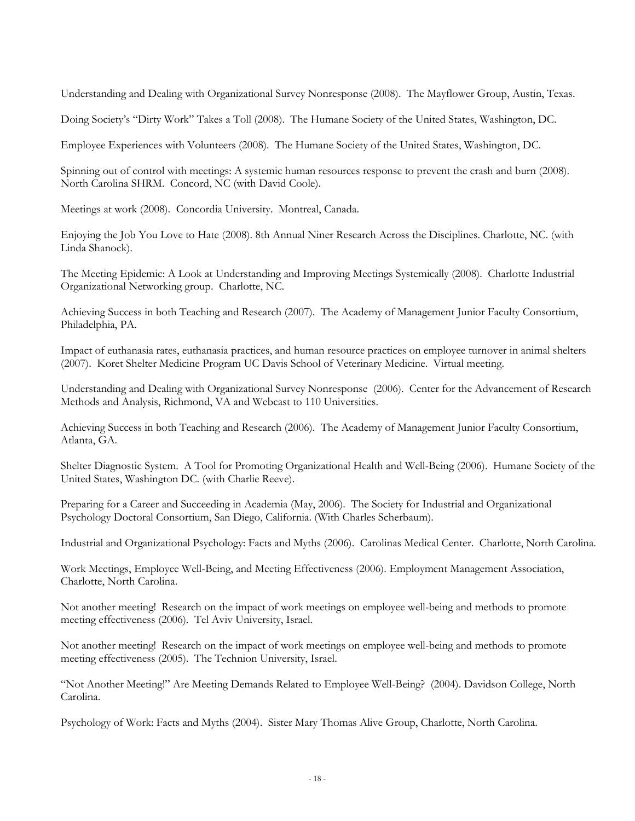Understanding and Dealing with Organizational Survey Nonresponse (2008). The Mayflower Group, Austin, Texas.

Doing Society's "Dirty Work" Takes a Toll (2008). The Humane Society of the United States, Washington, DC.

Employee Experiences with Volunteers (2008). The Humane Society of the United States, Washington, DC.

Spinning out of control with meetings: A systemic human resources response to prevent the crash and burn (2008). North Carolina SHRM. Concord, NC (with David Coole).

Meetings at work (2008). Concordia University. Montreal, Canada.

Enjoying the Job You Love to Hate (2008). 8th Annual Niner Research Across the Disciplines. Charlotte, NC. (with Linda Shanock).

The Meeting Epidemic: A Look at Understanding and Improving Meetings Systemically (2008). Charlotte Industrial Organizational Networking group. Charlotte, NC.

Achieving Success in both Teaching and Research (2007). The Academy of Management Junior Faculty Consortium, Philadelphia, PA.

Impact of euthanasia rates, euthanasia practices, and human resource practices on employee turnover in animal shelters (2007). Koret Shelter Medicine Program UC Davis School of Veterinary Medicine. Virtual meeting.

Understanding and Dealing with Organizational Survey Nonresponse (2006). Center for the Advancement of Research Methods and Analysis, Richmond, VA and Webcast to 110 Universities.

Achieving Success in both Teaching and Research (2006). The Academy of Management Junior Faculty Consortium, Atlanta, GA.

Shelter Diagnostic System. A Tool for Promoting Organizational Health and Well-Being (2006). Humane Society of the United States, Washington DC. (with Charlie Reeve).

Preparing for a Career and Succeeding in Academia (May, 2006). The Society for Industrial and Organizational Psychology Doctoral Consortium, San Diego, California. (With Charles Scherbaum).

Industrial and Organizational Psychology: Facts and Myths (2006). Carolinas Medical Center. Charlotte, North Carolina.

Work Meetings, Employee Well-Being, and Meeting Effectiveness (2006). Employment Management Association, Charlotte, North Carolina.

Not another meeting! Research on the impact of work meetings on employee well-being and methods to promote meeting effectiveness (2006). Tel Aviv University, Israel.

Not another meeting! Research on the impact of work meetings on employee well-being and methods to promote meeting effectiveness (2005). The Technion University, Israel.

"Not Another Meeting!" Are Meeting Demands Related to Employee Well-Being? (2004). Davidson College, North Carolina.

Psychology of Work: Facts and Myths (2004). Sister Mary Thomas Alive Group, Charlotte, North Carolina.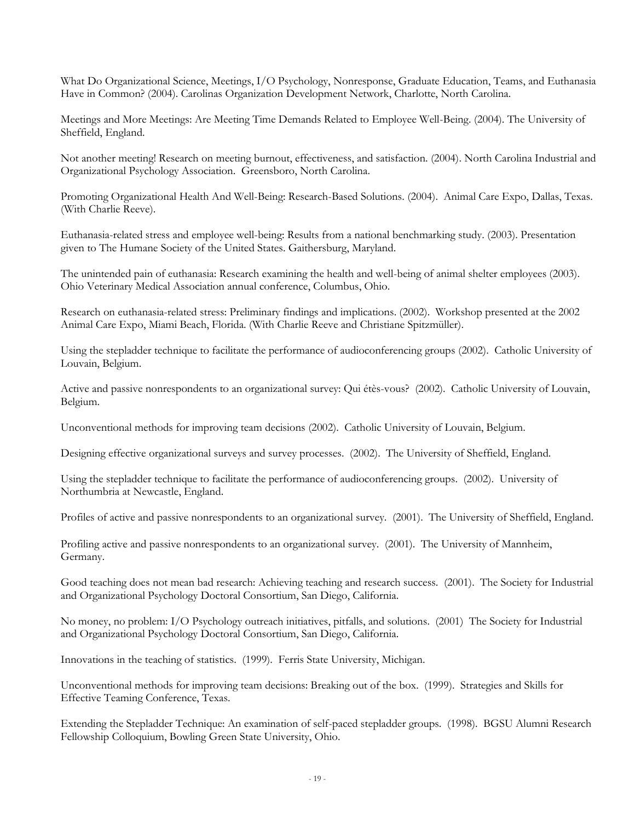What Do Organizational Science, Meetings, I/O Psychology, Nonresponse, Graduate Education, Teams, and Euthanasia Have in Common? (2004). Carolinas Organization Development Network, Charlotte, North Carolina.

Meetings and More Meetings: Are Meeting Time Demands Related to Employee Well-Being. (2004). The University of Sheffield, England.

Not another meeting! Research on meeting burnout, effectiveness, and satisfaction. (2004). North Carolina Industrial and Organizational Psychology Association. Greensboro, North Carolina.

Promoting Organizational Health And Well-Being: Research-Based Solutions. (2004). Animal Care Expo, Dallas, Texas. (With Charlie Reeve).

Euthanasia-related stress and employee well-being: Results from a national benchmarking study. (2003). Presentation given to The Humane Society of the United States. Gaithersburg, Maryland.

The unintended pain of euthanasia: Research examining the health and well-being of animal shelter employees (2003). Ohio Veterinary Medical Association annual conference, Columbus, Ohio.

Research on euthanasia-related stress: Preliminary findings and implications. (2002). Workshop presented at the 2002 Animal Care Expo, Miami Beach, Florida. (With Charlie Reeve and Christiane Spitzmüller).

Using the stepladder technique to facilitate the performance of audioconferencing groups (2002). Catholic University of Louvain, Belgium.

Active and passive nonrespondents to an organizational survey: Qui étès-vous? (2002). Catholic University of Louvain, Belgium.

Unconventional methods for improving team decisions (2002). Catholic University of Louvain, Belgium.

Designing effective organizational surveys and survey processes. (2002). The University of Sheffield, England.

Using the stepladder technique to facilitate the performance of audioconferencing groups. (2002). University of Northumbria at Newcastle, England.

Profiles of active and passive nonrespondents to an organizational survey. (2001). The University of Sheffield, England.

Profiling active and passive nonrespondents to an organizational survey. (2001). The University of Mannheim, Germany.

Good teaching does not mean bad research: Achieving teaching and research success. (2001). The Society for Industrial and Organizational Psychology Doctoral Consortium, San Diego, California.

No money, no problem: I/O Psychology outreach initiatives, pitfalls, and solutions. (2001) The Society for Industrial and Organizational Psychology Doctoral Consortium, San Diego, California.

Innovations in the teaching of statistics. (1999). Ferris State University, Michigan.

Unconventional methods for improving team decisions: Breaking out of the box. (1999). Strategies and Skills for Effective Teaming Conference, Texas.

Extending the Stepladder Technique: An examination of self-paced stepladder groups. (1998). BGSU Alumni Research Fellowship Colloquium, Bowling Green State University, Ohio.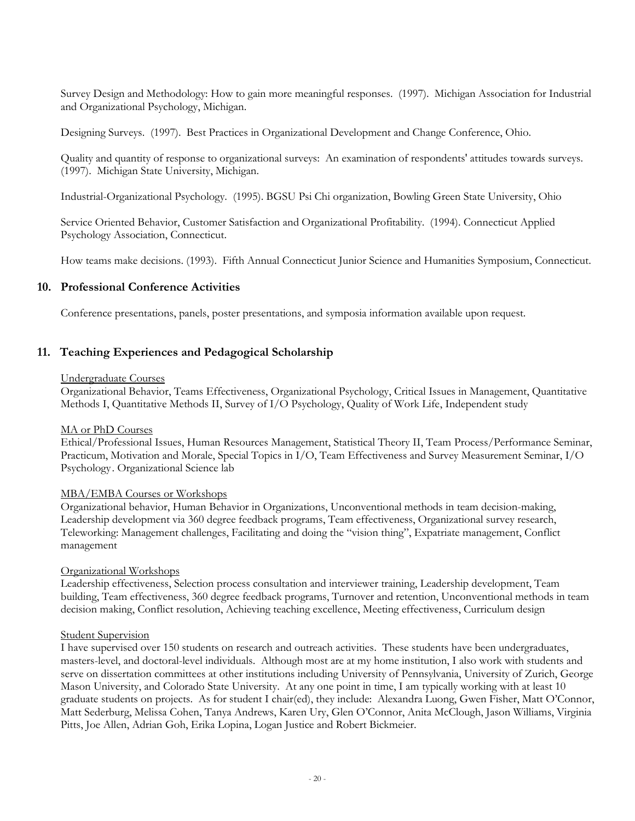Survey Design and Methodology: How to gain more meaningful responses. (1997). Michigan Association for Industrial and Organizational Psychology, Michigan.

Designing Surveys. (1997). Best Practices in Organizational Development and Change Conference, Ohio.

Quality and quantity of response to organizational surveys: An examination of respondents' attitudes towards surveys. (1997). Michigan State University, Michigan.

Industrial-Organizational Psychology. (1995). BGSU Psi Chi organization, Bowling Green State University, Ohio

Service Oriented Behavior, Customer Satisfaction and Organizational Profitability. (1994). Connecticut Applied Psychology Association, Connecticut.

How teams make decisions. (1993). Fifth Annual Connecticut Junior Science and Humanities Symposium, Connecticut.

# **10. Professional Conference Activities**

Conference presentations, panels, poster presentations, and symposia information available upon request.

# **11. Teaching Experiences and Pedagogical Scholarship**

#### Undergraduate Courses

Organizational Behavior, Teams Effectiveness, Organizational Psychology, Critical Issues in Management, Quantitative Methods I, Quantitative Methods II, Survey of I/O Psychology, Quality of Work Life, Independent study

#### MA or PhD Courses

Ethical/Professional Issues, Human Resources Management, Statistical Theory II, Team Process/Performance Seminar, Practicum, Motivation and Morale, Special Topics in I/O, Team Effectiveness and Survey Measurement Seminar, I/O Psychology. Organizational Science lab

#### MBA/EMBA Courses or Workshops

Organizational behavior, Human Behavior in Organizations, Unconventional methods in team decision-making, Leadership development via 360 degree feedback programs, Team effectiveness, Organizational survey research, Teleworking: Management challenges, Facilitating and doing the "vision thing", Expatriate management, Conflict management

#### Organizational Workshops

Leadership effectiveness, Selection process consultation and interviewer training, Leadership development, Team building, Team effectiveness, 360 degree feedback programs, Turnover and retention, Unconventional methods in team decision making, Conflict resolution, Achieving teaching excellence, Meeting effectiveness, Curriculum design

#### Student Supervision

I have supervised over 150 students on research and outreach activities. These students have been undergraduates, masters-level, and doctoral-level individuals. Although most are at my home institution, I also work with students and serve on dissertation committees at other institutions including University of Pennsylvania, University of Zurich, George Mason University, and Colorado State University. At any one point in time, I am typically working with at least 10 graduate students on projects. As for student I chair(ed), they include: Alexandra Luong, Gwen Fisher, Matt O'Connor, Matt Sederburg, Melissa Cohen, Tanya Andrews, Karen Ury, Glen O'Connor, Anita McClough, Jason Williams, Virginia Pitts, Joe Allen, Adrian Goh, Erika Lopina, Logan Justice and Robert Bickmeier.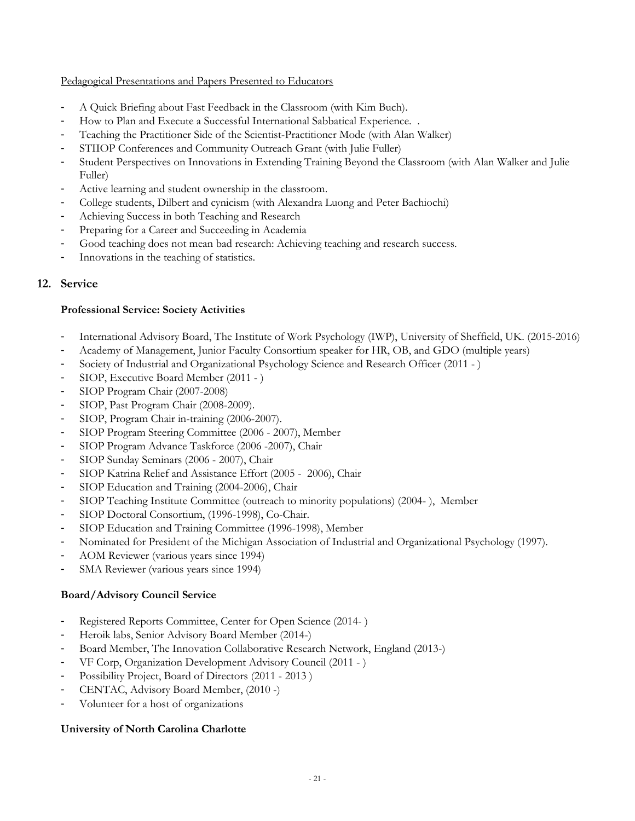# Pedagogical Presentations and Papers Presented to Educators

- A Quick Briefing about Fast Feedback in the Classroom (with Kim Buch).
- How to Plan and Execute a Successful International Sabbatical Experience. .
- Teaching the Practitioner Side of the Scientist-Practitioner Mode (with Alan Walker)
- STIIOP Conferences and Community Outreach Grant (with Julie Fuller)
- Student Perspectives on Innovations in Extending Training Beyond the Classroom (with Alan Walker and Julie Fuller)
- Active learning and student ownership in the classroom.
- College students, Dilbert and cynicism (with Alexandra Luong and Peter Bachiochi)
- Achieving Success in both Teaching and Research
- Preparing for a Career and Succeeding in Academia
- Good teaching does not mean bad research: Achieving teaching and research success.
- Innovations in the teaching of statistics.

# **12. Service**

# **Professional Service: Society Activities**

- International Advisory Board, The Institute of Work Psychology (IWP), University of Sheffield, UK. (2015-2016)
- Academy of Management, Junior Faculty Consortium speaker for HR, OB, and GDO (multiple years)
- Society of Industrial and Organizational Psychology Science and Research Officer (2011 )
- SIOP, Executive Board Member (2011 )
- SIOP Program Chair (2007-2008)
- SIOP, Past Program Chair (2008-2009).
- SIOP, Program Chair in-training (2006-2007).
- SIOP Program Steering Committee (2006 2007), Member
- SIOP Program Advance Taskforce (2006 -2007), Chair
- SIOP Sunday Seminars (2006 2007), Chair
- SIOP Katrina Relief and Assistance Effort (2005 2006), Chair
- SIOP Education and Training (2004-2006), Chair
- SIOP Teaching Institute Committee (outreach to minority populations) (2004- ), Member
- SIOP Doctoral Consortium, (1996-1998), Co-Chair.
- SIOP Education and Training Committee (1996-1998), Member
- Nominated for President of the Michigan Association of Industrial and Organizational Psychology (1997).
- AOM Reviewer (various years since 1994)
- SMA Reviewer (various years since 1994)

# **Board/Advisory Council Service**

- Registered Reports Committee, Center for Open Science (2014- )
- Heroik labs, Senior Advisory Board Member (2014-)
- Board Member, The Innovation Collaborative Research Network, England (2013-)
- VF Corp, Organization Development Advisory Council (2011 )
- Possibility Project, Board of Directors (2011 2013 )
- CENTAC, Advisory Board Member, (2010 -)
- Volunteer for a host of organizations

# **University of North Carolina Charlotte**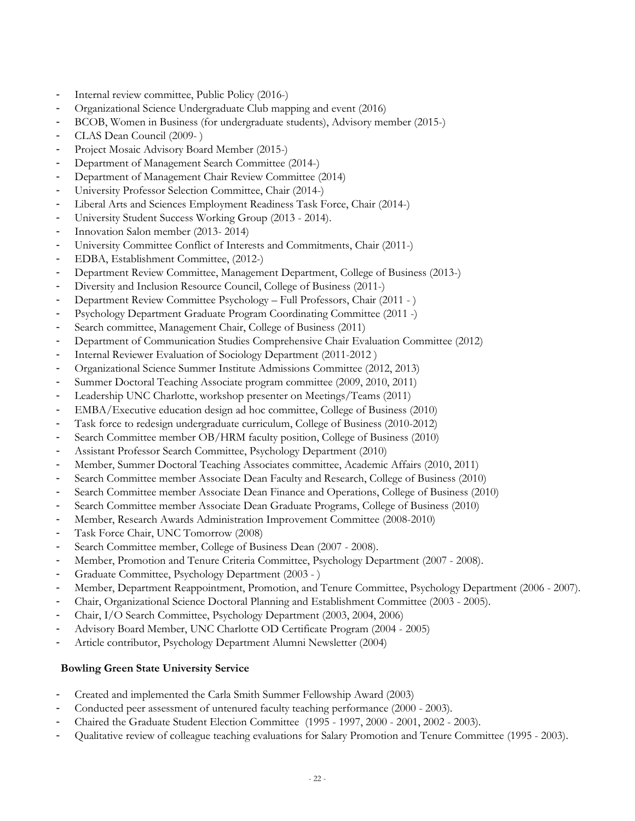- Internal review committee, Public Policy (2016-)
- Organizational Science Undergraduate Club mapping and event (2016)
- BCOB, Women in Business (for undergraduate students), Advisory member (2015-)
- CLAS Dean Council (2009-)
- Project Mosaic Advisory Board Member (2015-)
- Department of Management Search Committee (2014-)
- Department of Management Chair Review Committee (2014)
- University Professor Selection Committee, Chair (2014-)
- Liberal Arts and Sciences Employment Readiness Task Force, Chair (2014-)
- University Student Success Working Group (2013 2014).
- Innovation Salon member (2013-2014)
- University Committee Conflict of Interests and Commitments, Chair (2011-)
- EDBA, Establishment Committee, (2012-)
- Department Review Committee, Management Department, College of Business (2013-)
- Diversity and Inclusion Resource Council, College of Business (2011-)
- Department Review Committee Psychology Full Professors, Chair (2011 )
- Psychology Department Graduate Program Coordinating Committee (2011 -)
- Search committee, Management Chair, College of Business (2011)
- Department of Communication Studies Comprehensive Chair Evaluation Committee (2012)
- Internal Reviewer Evaluation of Sociology Department (2011-2012)
- Organizational Science Summer Institute Admissions Committee (2012, 2013)
- Summer Doctoral Teaching Associate program committee (2009, 2010, 2011)
- Leadership UNC Charlotte, workshop presenter on Meetings/Teams (2011)
- EMBA/Executive education design ad hoc committee, College of Business (2010)
- Task force to redesign undergraduate curriculum, College of Business (2010-2012)
- Search Committee member OB/HRM faculty position, College of Business (2010)
- Assistant Professor Search Committee, Psychology Department (2010)
- Member, Summer Doctoral Teaching Associates committee, Academic Affairs (2010, 2011)
- Search Committee member Associate Dean Faculty and Research, College of Business (2010)
- Search Committee member Associate Dean Finance and Operations, College of Business (2010)
- Search Committee member Associate Dean Graduate Programs, College of Business (2010)
- Member, Research Awards Administration Improvement Committee (2008-2010)
- Task Force Chair, UNC Tomorrow (2008)
- Search Committee member, College of Business Dean (2007 2008).
- Member, Promotion and Tenure Criteria Committee, Psychology Department (2007 2008).
- Graduate Committee, Psychology Department (2003 )
- Member, Department Reappointment, Promotion, and Tenure Committee, Psychology Department (2006 2007).
- Chair, Organizational Science Doctoral Planning and Establishment Committee (2003 2005).
- Chair, I/O Search Committee, Psychology Department (2003, 2004, 2006)
- Advisory Board Member, UNC Charlotte OD Certificate Program (2004 2005)
- Article contributor, Psychology Department Alumni Newsletter (2004)

# **Bowling Green State University Service**

- Created and implemented the Carla Smith Summer Fellowship Award (2003)
- Conducted peer assessment of untenured faculty teaching performance (2000 2003).
- Chaired the Graduate Student Election Committee (1995 1997, 2000 2001, 2002 2003).
- Qualitative review of colleague teaching evaluations for Salary Promotion and Tenure Committee (1995 2003).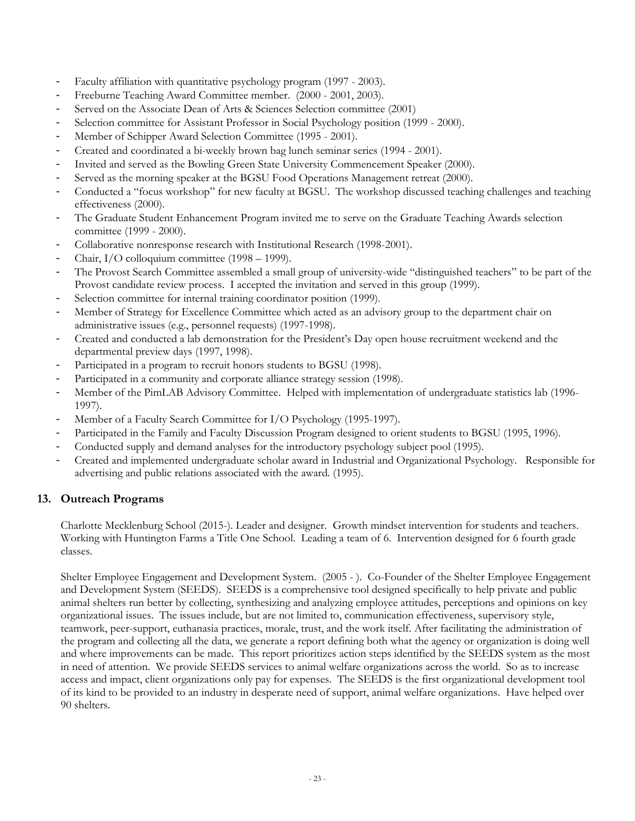- Faculty affiliation with quantitative psychology program (1997 2003).
- Freeburne Teaching Award Committee member. (2000 2001, 2003).
- Served on the Associate Dean of Arts & Sciences Selection committee (2001)
- Selection committee for Assistant Professor in Social Psychology position (1999 2000).
- Member of Schipper Award Selection Committee (1995 2001).
- Created and coordinated a bi-weekly brown bag lunch seminar series (1994 2001).
- Invited and served as the Bowling Green State University Commencement Speaker (2000).
- Served as the morning speaker at the BGSU Food Operations Management retreat (2000).
- Conducted a "focus workshop" for new faculty at BGSU. The workshop discussed teaching challenges and teaching effectiveness (2000).
- The Graduate Student Enhancement Program invited me to serve on the Graduate Teaching Awards selection committee (1999 - 2000).
- Collaborative nonresponse research with Institutional Research (1998-2001).
- Chair, I/O colloquium committee (1998 1999).
- The Provost Search Committee assembled a small group of university-wide "distinguished teachers" to be part of the Provost candidate review process. I accepted the invitation and served in this group (1999).
- Selection committee for internal training coordinator position (1999).
- Member of Strategy for Excellence Committee which acted as an advisory group to the department chair on administrative issues (e.g., personnel requests) (1997-1998).
- Created and conducted a lab demonstration for the President's Day open house recruitment weekend and the departmental preview days (1997, 1998).
- Participated in a program to recruit honors students to BGSU (1998).
- Participated in a community and corporate alliance strategy session (1998).
- Member of the PimLAB Advisory Committee. Helped with implementation of undergraduate statistics lab (1996- 1997).
- Member of a Faculty Search Committee for I/O Psychology (1995-1997).
- Participated in the Family and Faculty Discussion Program designed to orient students to BGSU (1995, 1996).
- Conducted supply and demand analyses for the introductory psychology subject pool (1995).
- Created and implemented undergraduate scholar award in Industrial and Organizational Psychology. Responsible for advertising and public relations associated with the award. (1995).

# **13. Outreach Programs**

Charlotte Mecklenburg School (2015-). Leader and designer. Growth mindset intervention for students and teachers. Working with Huntington Farms a Title One School. Leading a team of 6. Intervention designed for 6 fourth grade classes.

Shelter Employee Engagement and Development System. (2005 - ). Co-Founder of the Shelter Employee Engagement and Development System (SEEDS). SEEDS is a comprehensive tool designed specifically to help private and public animal shelters run better by collecting, synthesizing and analyzing employee attitudes, perceptions and opinions on key organizational issues. The issues include, but are not limited to, communication effectiveness, supervisory style, teamwork, peer-support, euthanasia practices, morale, trust, and the work itself. After facilitating the administration of the program and collecting all the data, we generate a report defining both what the agency or organization is doing well and where improvements can be made. This report prioritizes action steps identified by the SEEDS system as the most in need of attention. We provide SEEDS services to animal welfare organizations across the world. So as to increase access and impact, client organizations only pay for expenses. The SEEDS is the first organizational development tool of its kind to be provided to an industry in desperate need of support, animal welfare organizations. Have helped over 90 shelters.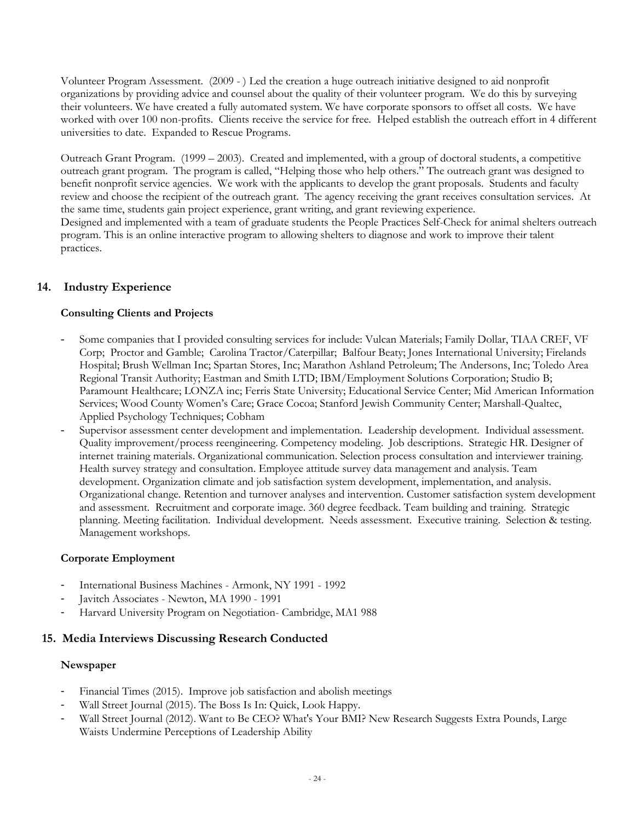Volunteer Program Assessment. (2009 - ) Led the creation a huge outreach initiative designed to aid nonprofit organizations by providing advice and counsel about the quality of their volunteer program. We do this by surveying their volunteers. We have created a fully automated system. We have corporate sponsors to offset all costs. We have worked with over 100 non-profits. Clients receive the service for free. Helped establish the outreach effort in 4 different universities to date. Expanded to Rescue Programs.

Outreach Grant Program. (1999 – 2003). Created and implemented, with a group of doctoral students, a competitive outreach grant program. The program is called, "Helping those who help others." The outreach grant was designed to benefit nonprofit service agencies. We work with the applicants to develop the grant proposals. Students and faculty review and choose the recipient of the outreach grant. The agency receiving the grant receives consultation services. At the same time, students gain project experience, grant writing, and grant reviewing experience.

Designed and implemented with a team of graduate students the People Practices Self-Check for animal shelters outreach program. This is an online interactive program to allowing shelters to diagnose and work to improve their talent practices.

# **14. Industry Experience**

# **Consulting Clients and Projects**

- Some companies that I provided consulting services for include: Vulcan Materials; Family Dollar, TIAA CREF, VF Corp; Proctor and Gamble; Carolina Tractor/Caterpillar; Balfour Beaty; Jones International University; Firelands Hospital; Brush Wellman Inc; Spartan Stores, Inc; Marathon Ashland Petroleum; The Andersons, Inc; Toledo Area Regional Transit Authority; Eastman and Smith LTD; IBM/Employment Solutions Corporation; Studio B; Paramount Healthcare; LONZA inc; Ferris State University; Educational Service Center; Mid American Information Services; Wood County Women's Care; Grace Cocoa; Stanford Jewish Community Center; Marshall-Qualtec, Applied Psychology Techniques; Cobham
- Supervisor assessment center development and implementation. Leadership development. Individual assessment. Quality improvement/process reengineering. Competency modeling. Job descriptions. Strategic HR. Designer of internet training materials. Organizational communication. Selection process consultation and interviewer training. Health survey strategy and consultation. Employee attitude survey data management and analysis. Team development. Organization climate and job satisfaction system development, implementation, and analysis. Organizational change. Retention and turnover analyses and intervention. Customer satisfaction system development and assessment. Recruitment and corporate image. 360 degree feedback. Team building and training. Strategic planning. Meeting facilitation. Individual development. Needs assessment. Executive training. Selection & testing. Management workshops.

# **Corporate Employment**

- International Business Machines Armonk, NY 1991 1992
- Javitch Associates Newton, MA 1990 1991
- Harvard University Program on Negotiation- Cambridge, MA1 988

# **15. Media Interviews Discussing Research Conducted**

# **Newspaper**

- Financial Times (2015). Improve job satisfaction and abolish meetings
- Wall Street Journal (2015). The Boss Is In: Quick, Look Happy.
- Wall Street Journal (2012). Want to Be CEO? What's Your BMI? New Research Suggests Extra Pounds, Large Waists Undermine Perceptions of Leadership Ability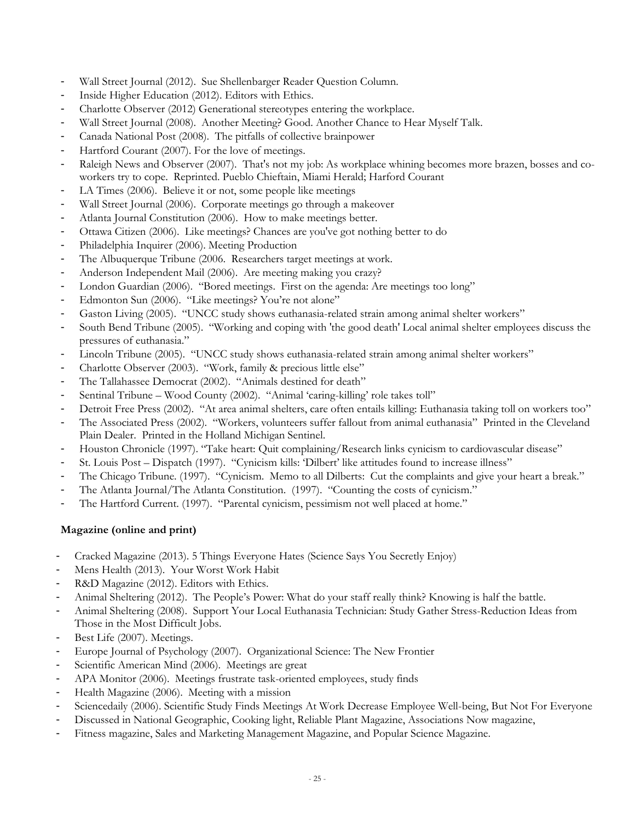- Wall Street Journal (2012). Sue Shellenbarger Reader Question Column.
- Inside Higher Education (2012). Editors with Ethics.
- Charlotte Observer (2012) Generational stereotypes entering the workplace.
- Wall Street Journal (2008). Another Meeting? Good. Another Chance to Hear Myself Talk.
- Canada National Post (2008). The pitfalls of collective brainpower
- Hartford Courant (2007). For the love of meetings.
- Raleigh News and Observer (2007). That's not my job: As workplace whining becomes more brazen, bosses and coworkers try to cope. Reprinted. Pueblo Chieftain, Miami Herald; Harford Courant
- LA Times (2006). Believe it or not, some people like meetings
- Wall Street Journal (2006). Corporate meetings go through a makeover
- Atlanta Journal Constitution (2006). How to make meetings better.
- Ottawa Citizen (2006). Like meetings? Chances are you've got nothing better to do
- Philadelphia Inquirer (2006). Meeting Production
- The Albuquerque Tribune (2006. Researchers target meetings at work.
- Anderson Independent Mail (2006). Are meeting making you crazy?
- London Guardian (2006). "Bored meetings. First on the agenda: Are meetings too long"
- Edmonton Sun (2006). "Like meetings? You're not alone"
- Gaston Living (2005). "UNCC study shows euthanasia-related strain among animal shelter workers"
- South Bend Tribune (2005). "Working and coping with 'the good death' Local animal shelter employees discuss the pressures of euthanasia."
- Lincoln Tribune (2005). "UNCC study shows euthanasia-related strain among animal shelter workers"
- Charlotte Observer (2003). "Work, family & precious little else"
- The Tallahassee Democrat (2002). "Animals destined for death"
- Sentinal Tribune Wood County (2002). "Animal 'caring-killing' role takes toll"
- Detroit Free Press (2002). "At area animal shelters, care often entails killing: Euthanasia taking toll on workers too"
- The Associated Press (2002). "Workers, volunteers suffer fallout from animal euthanasia" Printed in the Cleveland Plain Dealer. Printed in the Holland Michigan Sentinel.
- Houston Chronicle (1997). "Take heart: Quit complaining/Research links cynicism to cardiovascular disease"
- St. Louis Post Dispatch (1997). "Cynicism kills: 'Dilbert' like attitudes found to increase illness"
- The Chicago Tribune. (1997). "Cynicism. Memo to all Dilberts: Cut the complaints and give your heart a break."
- The Atlanta Journal/The Atlanta Constitution. (1997). "Counting the costs of cynicism."
- The Hartford Current. (1997). "Parental cynicism, pessimism not well placed at home."

# **Magazine (online and print)**

- Cracked Magazine (2013). 5 Things Everyone Hates (Science Says You Secretly Enjoy)
- Mens Health (2013). Your Worst Work Habit
- R&D Magazine (2012). Editors with Ethics.
- Animal Sheltering (2012). The People's Power: What do your staff really think? Knowing is half the battle.
- Animal Sheltering (2008). Support Your Local Euthanasia Technician: Study Gather Stress-Reduction Ideas from Those in the Most Difficult Jobs.
- Best Life (2007). Meetings.
- Europe Journal of Psychology (2007). Organizational Science: The New Frontier
- Scientific American Mind (2006). Meetings are great
- APA Monitor (2006). Meetings frustrate task-oriented employees, study finds
- Health Magazine (2006). Meeting with a mission
- Sciencedaily (2006). Scientific Study Finds Meetings At Work Decrease Employee Well-being, But Not For Everyone
- Discussed in National Geographic, Cooking light, Reliable Plant Magazine, Associations Now magazine,
- Fitness magazine, Sales and Marketing Management Magazine, and Popular Science Magazine.